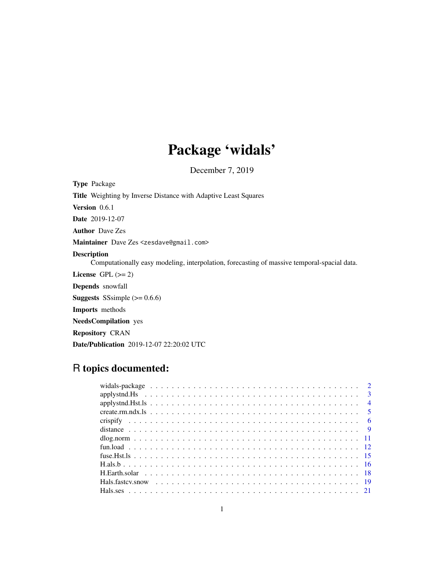# Package 'widals'

December 7, 2019

<span id="page-0-0"></span>Type Package

Title Weighting by Inverse Distance with Adaptive Least Squares

Version 0.6.1

Date 2019-12-07

Author Dave Zes

Maintainer Dave Zes <zesdave@gmail.com>

# Description

Computationally easy modeling, interpolation, forecasting of massive temporal-spacial data.

License GPL  $(>= 2)$ 

Depends snowfall

**Suggests** SSsimple  $(>= 0.6.6)$ 

Imports methods

NeedsCompilation yes

Repository CRAN

Date/Publication 2019-12-07 22:20:02 UTC

# R topics documented: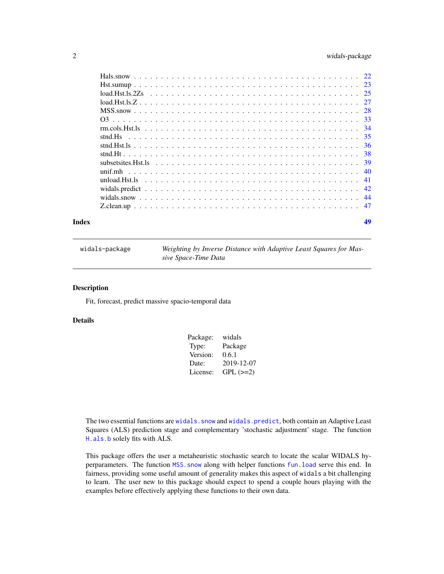# <span id="page-1-0"></span>2 widals-package

| Index | 49 |
|-------|----|
|       |    |
|       |    |
|       |    |
|       |    |
|       |    |
|       |    |
|       |    |
|       |    |
|       |    |
|       |    |
|       |    |
|       |    |
|       |    |
|       |    |
|       |    |
|       |    |

widals-package *Weighting by Inverse Distance with Adaptive Least Squares for Massive Space-Time Data*

#### Description

Fit, forecast, predict massive spacio-temporal data

# Details

| Package: | widals        |
|----------|---------------|
| Type:    | Package       |
| Version: | 0.6.1         |
| Date:    | 2019-12-07    |
| License: | $GPL$ $(>=2)$ |

The two essential functions are widals. snow and widals. predict, both contain an Adaptive Least Squares (ALS) prediction stage and complementary 'stochastic adjustment' stage. The function [H.als.b](#page-15-1) solely fits with ALS.

This package offers the user a metaheuristic stochastic search to locate the scalar WIDALS hyperparameters. The function [MSS.snow](#page-27-1) along with helper functions [fun.load](#page-11-1) serve this end. In fairness, providing some useful amount of generality makes this aspect of widals a bit challenging to learn. The user new to this package should expect to spend a couple hours playing with the examples before effectively applying these functions to their own data.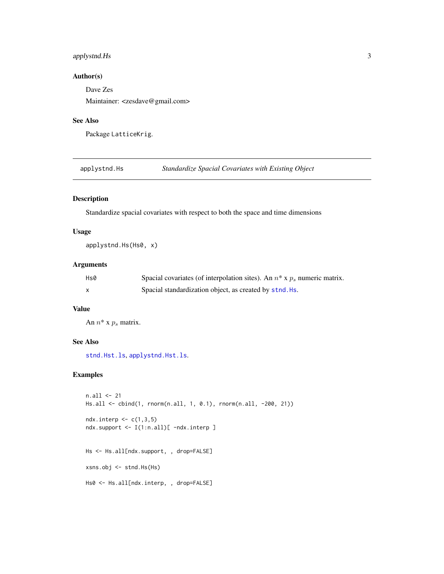# <span id="page-2-0"></span>applystnd.Hs 3

# Author(s)

Dave Zes

Maintainer: <zesdave@gmail.com>

#### See Also

Package LatticeKrig.

<span id="page-2-1"></span>applystnd.Hs *Standardize Spacial Covariates with Existing Object*

# Description

Standardize spacial covariates with respect to both the space and time dimensions

#### Usage

applystnd.Hs(Hs0, x)

# Arguments

| Hs0 | Spacial covariates (of interpolation sites). An $n^*$ x $p_s$ numeric matrix. |
|-----|-------------------------------------------------------------------------------|
|     | Spacial standardization object, as created by stnd. Hs.                       |

# Value

An  $n^*$  x  $p_s$  matrix.

# See Also

[stnd.Hst.ls](#page-35-1), [applystnd.Hst.ls](#page-3-1).

```
n.all <- 21
Hs.all <- cbind(1, rnorm(n.all, 1, 0.1), rnorm(n.all, -200, 21))
ndx.interp \leftarrow c(1,3,5)ndx.support <- I(1:n.all)[ -ndx.interp ]
Hs <- Hs.all[ndx.support, , drop=FALSE]
xsns.obj <- stnd.Hs(Hs)
Hs0 <- Hs.all[ndx.interp, , drop=FALSE]
```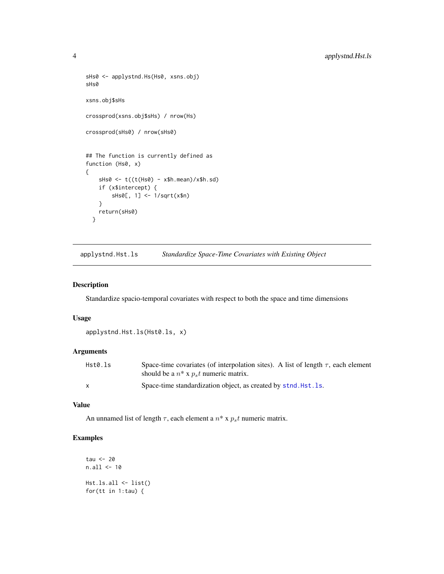```
sHs0 <- applystnd.Hs(Hs0, xsns.obj)
sHs0
xsns.obj$sHs
crossprod(xsns.obj$sHs) / nrow(Hs)
crossprod(sHs0) / nrow(sHs0)
## The function is currently defined as
function (Hs0, x)
{
    sHs0 <- t((t(Hs0) - x$h.mean)/x$h.sd)
   if (x$intercept) {
        sHs0[, 1] <- 1/sqrt(x$n)
    }
   return(sHs0)
 }
```
<span id="page-3-1"></span>applystnd.Hst.ls *Standardize Space-Time Covariates with Existing Object*

#### Description

Standardize spacio-temporal covariates with respect to both the space and time dimensions

#### Usage

```
applystnd.Hst.ls(Hst0.ls, x)
```
# Arguments

| Hst0.ls | Space-time covariates (of interpolation sites). A list of length $\tau$ , each element |
|---------|----------------------------------------------------------------------------------------|
|         | should be a $n^*$ x $ps t$ numeric matrix.                                             |
|         | Space-time standardization object, as created by stnd. Hst. 1s.                        |

# Value

An unnamed list of length  $\tau$ , each element a  $n^*$  x  $p_st$  numeric matrix.

```
tau <- 20
n.all <- 10
Hst.ls.all <- list()
for(tt in 1:tau) {
```
<span id="page-3-0"></span>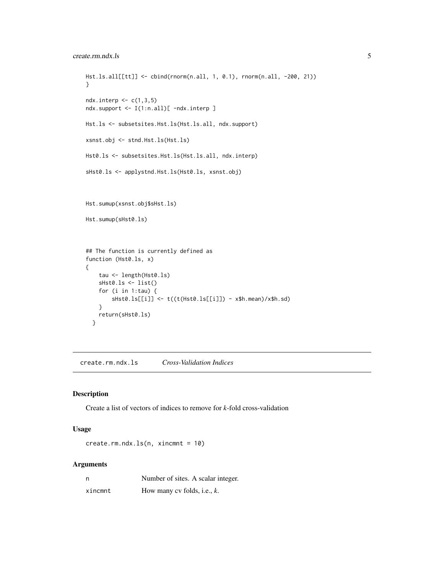```
Hst.ls.all[[tt]] <- cbind(rnorm(n.all, 1, 0.1), rnorm(n.all, -200, 21))
}
ndx.interp \leq c(1,3,5)ndx.support <- I(1:n.all)[ -ndx.interp ]
Hst.ls <- subsetsites.Hst.ls(Hst.ls.all, ndx.support)
xsnst.obj <- stnd.Hst.ls(Hst.ls)
Hst0.ls <- subsetsites.Hst.ls(Hst.ls.all, ndx.interp)
sHst0.ls <- applystnd.Hst.ls(Hst0.ls, xsnst.obj)
Hst.sumup(xsnst.obj$sHst.ls)
Hst.sumup(sHst0.ls)
## The function is currently defined as
function (Hst0.ls, x)
{
   tau <- length(Hst0.ls)
   sHst0.ls <- list()
   for (i in 1:tau) {
        sHst0.ls[[i]] <- t((t(Hst0.ls[[i]]) - x$h.mean)/x$h.sd)
    }
   return(sHst0.ls)
  }
```
create.rm.ndx.ls *Cross-Validation Indices*

#### Description

Create a list of vectors of indices to remove for *k*-fold cross-validation

#### Usage

create.rm.ndx.ls(n, xincmnt = 10)

#### Arguments

| n       | Number of sites. A scalar integer. |
|---------|------------------------------------|
| xincmnt | How many cv folds, i.e., $k$ .     |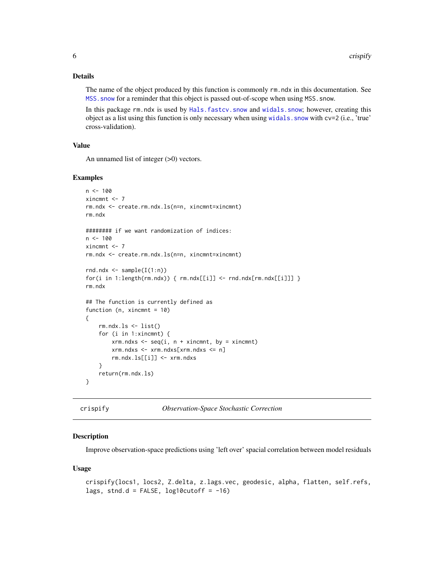# <span id="page-5-0"></span>Details

The name of the object produced by this function is commonly rm.ndx in this documentation. See MSS. snow for a reminder that this object is passed out-of-scope when using MSS. snow.

In this package rm.ndx is used by [Hals.fastcv.snow](#page-18-1) and [widals.snow](#page-43-1); however, creating this object as a list using this function is only necessary when using [widals.snow](#page-43-1) with cv=2 (i.e., 'true' cross-validation).

#### Value

An unnamed list of integer (>0) vectors.

#### Examples

```
n < - 100xincmnt <- 7
rm.ndx <- create.rm.ndx.ls(n=n, xincmnt=xincmnt)
rm.ndx
######## if we want randomization of indices:
n < -100xincmnt <- 7
rm.ndx <- create.rm.ndx.ls(n=n, xincmnt=xincmnt)
rnd.ndx \leq sample(I(1:n))
for(i in 1:length(rm,ndx)) {rm.ndx[[i]] < - rad.ndx[rm,ndx[[i]]] }rm.ndx
## The function is currently defined as
function (n, xincmnt = 10)
{
    rm.ndx.ls < - list()for (i in 1:xincmnt) {
        xrm.ndxs <- seq(i, n + xincmnt, by = xincmnt)
        xrm.ndxs <- xrm.ndxs[xrm.ndxs <= n]
        rm.ndx.ls[[i]] <- xrm.ndxs
    }
   return(rm.ndx.ls)
}
```
<span id="page-5-1"></span>

crispify *Observation-Space Stochastic Correction*

#### Description

Improve observation-space predictions using 'left over' spacial correlation between model residuals

#### Usage

```
crispify(locs1, locs2, Z.delta, z.lags.vec, geodesic, alpha, flatten, self.refs,
lags, stnd.d = FALSE, log10cutoff = -16)
```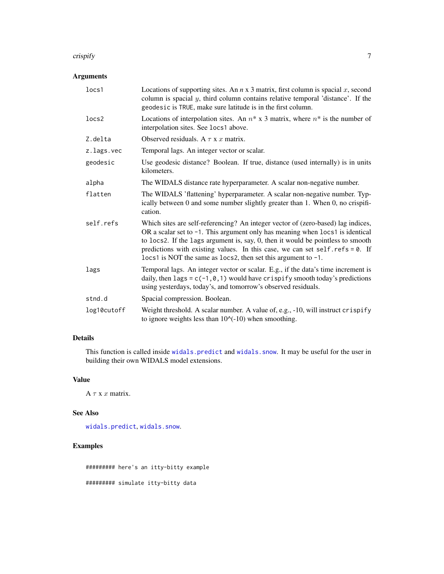#### <span id="page-6-0"></span>crispify 7

# Arguments

| locs1       | Locations of supporting sites. An $n \times 3$ matrix, first column is spacial $x$ , second<br>column is spacial $y$ , third column contains relative temporal 'distance'. If the<br>geodesic is TRUE, make sure latitude is in the first column.                                                                                                                                                                 |
|-------------|-------------------------------------------------------------------------------------------------------------------------------------------------------------------------------------------------------------------------------------------------------------------------------------------------------------------------------------------------------------------------------------------------------------------|
| locs2       | Locations of interpolation sites. An $n^*$ x 3 matrix, where $n^*$ is the number of<br>interpolation sites. See locs1 above.                                                                                                                                                                                                                                                                                      |
| Z.delta     | Observed residuals. A $\tau$ x x matrix.                                                                                                                                                                                                                                                                                                                                                                          |
| z.lags.vec  | Temporal lags. An integer vector or scalar.                                                                                                                                                                                                                                                                                                                                                                       |
| geodesic    | Use geodesic distance? Boolean. If true, distance (used internally) is in units<br>kilometers.                                                                                                                                                                                                                                                                                                                    |
| alpha       | The WIDALS distance rate hyperparameter. A scalar non-negative number.                                                                                                                                                                                                                                                                                                                                            |
| flatten     | The WIDALS 'flattening' hyperparameter. A scalar non-negative number. Typ-<br>ically between 0 and some number slightly greater than 1. When 0, no crispifi-<br>cation.                                                                                                                                                                                                                                           |
| self.refs   | Which sites are self-referencing? An integer vector of (zero-based) lag indices,<br>OR a scalar set to $-1$ . This argument only has meaning when $1$ ocs $1$ is identical<br>to locs2. If the lags argument is, say, $0$ , then it would be pointless to smooth<br>predictions with existing values. In this case, we can set self.refs = 0. If<br>locs1 is NOT the same as locs2, then set this argument to -1. |
| lags        | Temporal lags. An integer vector or scalar. E.g., if the data's time increment is<br>daily, then lags = $c(-1, 0, 1)$ would have crispify smooth today's predictions<br>using yesterdays, today's, and tomorrow's observed residuals.                                                                                                                                                                             |
| stnd.d      | Spacial compression. Boolean.                                                                                                                                                                                                                                                                                                                                                                                     |
| log10cutoff | Weight threshold. A scalar number. A value of, e.g., -10, will instruct crispify<br>to ignore weights less than $10$ $(-10)$ when smoothing.                                                                                                                                                                                                                                                                      |

# Details

This function is called inside [widals.predict](#page-41-1) and [widals.snow](#page-43-1). It may be useful for the user in building their own WIDALS model extensions.

# Value

 $A \tau x$  *x* matrix.

# See Also

[widals.predict](#page-41-1), [widals.snow](#page-43-1).

# Examples

######### here's an itty-bitty example

######### simulate itty-bitty data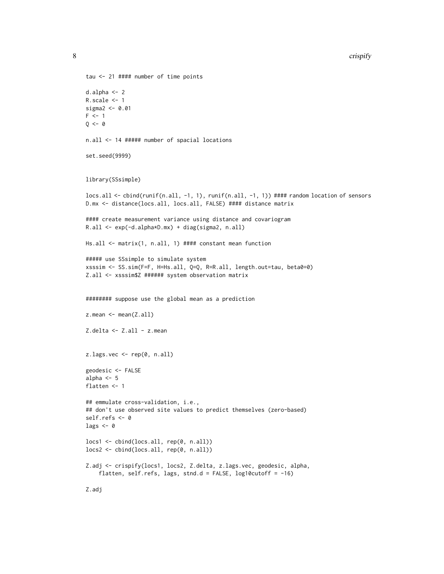8 crispify and the contract of the contract of the contract of the contract of the contract of the contract of the contract of the contract of the contract of the contract of the contract of the contract of the contract of

```
tau <- 21 #### number of time points
d.alpha <- 2
R.scale <- 1
sigma2 <- 0.01
F \leq -1Q \leftarrow 0n.all <- 14 ##### number of spacial locations
set.seed(9999)
library(SSsimple)
locs.all <- cbind(runif(n.all, -1, 1), runif(n.all, -1, 1)) #### random location of sensors
D.mx <- distance(locs.all, locs.all, FALSE) #### distance matrix
#### create measurement variance using distance and covariogram
R.all <- exp(-d.alpha*D.mx) + diag(sigma2, n.all)
Hs.all <- matrix(1, n.all, 1) #### constant mean function
##### use SSsimple to simulate system
xsssim <- SS.sim(F=F, H=Hs.all, Q=Q, R=R.all, length.out=tau, beta0=0)
Z.all <- xsssim$Z ###### system observation matrix
######## suppose use the global mean as a prediction
z.mean <- mean(Z.all)
Z.delta <- Z.all - z.mean
z.lags.vec <- rep(0, n.all)
geodesic <- FALSE
alpha <- 5
flatten <- 1
## emmulate cross-validation, i.e.,
## don't use observed site values to predict themselves (zero-based)
self.refs <- 0
lags <-0locs1 <- cbind(locs.all, rep(0, n.all))
locs2 <- cbind(locs.all, rep(0, n.all))
Z.adj <- crispify(locs1, locs2, Z.delta, z.lags.vec, geodesic, alpha,
    flatten, self.refs, lags, stnd.d = FALSE, log10cutoff = -16)
Z.adj
```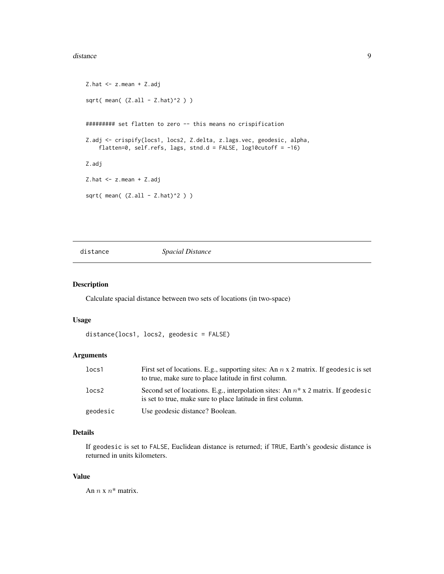#### <span id="page-8-0"></span>distance 9

```
Z.hat <- z.mean + Z.adj
sqrt( mean( (Z.all - Z.hat)^2 ) )
######### set flatten to zero -- this means no crispification
Z.adj <- crispify(locs1, locs2, Z.delta, z.lags.vec, geodesic, alpha,
    flatten=0, self.refs, lags, stnd.d = FALSE, log10cutoff = -16)
Z.adj
Z.hat <- z.mean + Z.adj
sqrt( mean( (Z.all - Z.hat)^2 ) )
```
distance *Spacial Distance*

# Description

Calculate spacial distance between two sets of locations (in two-space)

# Usage

distance(locs1, locs2, geodesic = FALSE)

# Arguments

| locs1    | First set of locations. E.g., supporting sites: An $n \times 2$ matrix. If geodesic is set<br>to true, make sure to place latitude in first column.  |
|----------|------------------------------------------------------------------------------------------------------------------------------------------------------|
| locs2    | Second set of locations. E.g., interpolation sites: An $n^*$ x 2 matrix. If geodesic<br>is set to true, make sure to place latitude in first column. |
| geodesic | Use geodesic distance? Boolean.                                                                                                                      |

# Details

If geodesic is set to FALSE, Euclidean distance is returned; if TRUE, Earth's geodesic distance is returned in units kilometers.

#### Value

An  $n \times n^*$  matrix.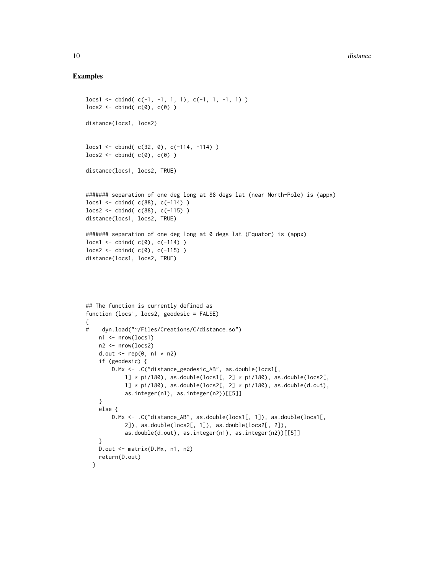#### Examples

}

}

return(D.out)

D.out <- matrix(D.Mx, n1, n2)

```
locs1 <- cbind( c(-1, -1, 1, 1), c(-1, 1, -1, 1) )
\text{loss2} \leftarrow \text{cbind}( c(\emptyset), c(\emptyset) )distance(locs1, locs2)
\text{loss1} \leq \text{cbind}(\text{c}(32, 0), \text{c}(-114, -114))\text{locs2} \leftarrow \text{cbind}( c(\emptyset), c(\emptyset) )distance(locs1, locs2, TRUE)
####### separation of one deg long at 88 degs lat (near North-Pole) is (appx)
locs1 <- cbind( c(88), c(-114) )
locs2 <- cbind( c(88), c(-115) )
distance(locs1, locs2, TRUE)
####### separation of one deg long at 0 degs lat (Equator) is (appx)
\text{loss1} \leftarrow \text{cbind}(c(0), c(-114))\text{locs2} \leftarrow \text{cbind}( c(0), c(-115) )distance(locs1, locs2, TRUE)
## The function is currently defined as
function (locs1, locs2, geodesic = FALSE)
{
# dyn.load("~/Files/Creations/C/distance.so")
    n1 <- nrow(locs1)
    n2 <- nrow(locs2)
    d.out \leq rep(0, n1 \star n2)
    if (geodesic) {
         D.Mx <- .C("distance_geodesic_AB", as.double(locs1[,
             1] * pi/180), as.double(locs1[, 2] * pi/180), as.double(locs2[,
             1] * pi/180, as.double(locs2[, 2] * pi/180), as.double(d.out),
             as.integer(n1), as.integer(n2))[[5]]
    }
    else {
         D.Mx <- .C("distance_AB", as.double(locs1[, 1]), as.double(locs1[,
             2]), as.double(locs2[, 1]), as.double(locs2[, 2]),
```
as.double(d.out), as.integer(n1), as.integer(n2))[[5]]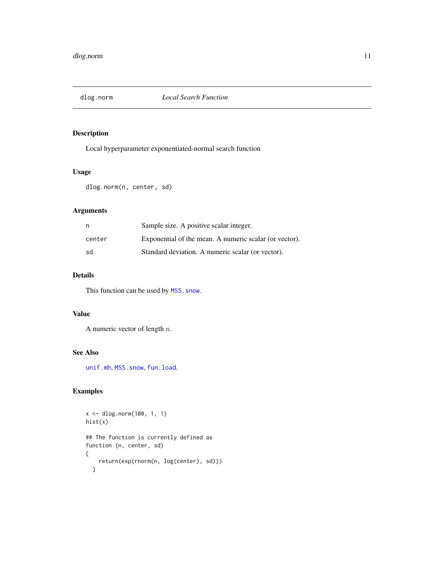<span id="page-10-1"></span><span id="page-10-0"></span>

# Description

Local hyperparameter exponentiated-normal search function

# Usage

```
dlog.norm(n, center, sd)
```
# Arguments

| n      | Sample size. A positive scalar integer.                |
|--------|--------------------------------------------------------|
| center | Exponential of the mean. A numeric scalar (or vector). |
| sd     | Standard deviation. A numeric scalar (or vector).      |

# Details

This function can be used by MSS. snow.

#### Value

A numeric vector of length n.

#### See Also

[unif.mh](#page-39-1), [MSS.snow](#page-27-1), [fun.load](#page-11-1).

```
x <- dlog.norm(100, 1, 1)
hist(x)
## The function is currently defined as
function (n, center, sd)
{
   return(exp(rnorm(n, log(center), sd)))
  }
```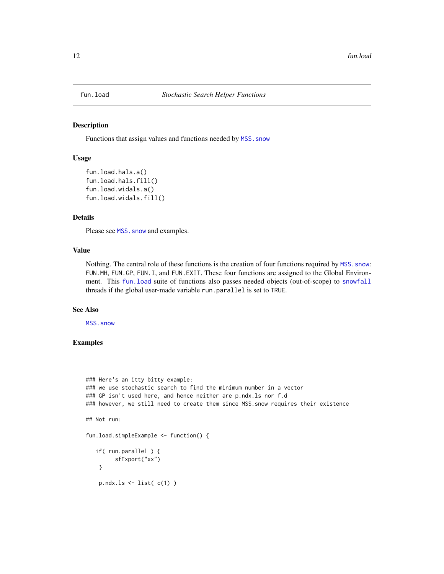<span id="page-11-1"></span><span id="page-11-0"></span>

#### <span id="page-11-2"></span>Description

Functions that assign values and functions needed by MSS. snow

#### Usage

```
fun.load.hals.a()
fun.load.hals.fill()
fun.load.widals.a()
fun.load.widals.fill()
```
#### Details

Please see MSS. snow and examples.

### Value

Nothing. The central role of these functions is the creation of four functions required by MSS. snow: FUN.MH, FUN.GP, FUN.I, and FUN.EXIT. These four functions are assigned to the Global Environment. This [fun.load](#page-11-1) suite of functions also passes needed objects (out-of-scope) to [snowfall](#page-0-0) threads if the global user-made variable run.parallel is set to TRUE.

#### See Also

[MSS.snow](#page-27-1)

```
### Here's an itty bitty example:
### we use stochastic search to find the minimum number in a vector
### GP isn't used here, and hence neither are p.ndx.ls nor f.d
### however, we still need to create them since MSS.snow requires their existence
## Not run:
fun.load.simpleExample <- function() {
   if( run.parallel ) {
         sfExport("xx")
    }
    p.ndx.ls \leftarrow list( c(1) )
```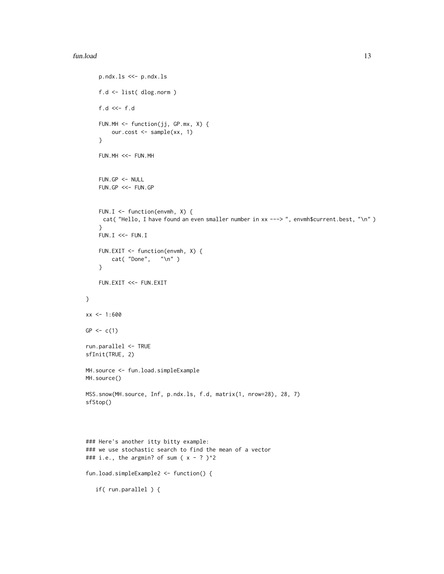#### fun.load 13

```
p.ndx.ls <<- p.ndx.ls
   f.d <- list( dlog.norm )
   f.d <<- f.d
   FUN.MH <- function(jj, GP.mx, X) {
       our.cost <- sample(xx, 1)
    }
   FUN.MH <<- FUN.MH
   FUN.GP < - NULLFUN.GP <<- FUN.GP
   FUN.I \leq function(envmh, X) {
     cat( "Hello, I have found an even smaller number in xx ---> ", envmh$current.best, "\n")
    }
   FUN.I \ll - FUN.IFUN.EXIT <- function(envmh, X) {
       cat( "Done", "\n" )
    }
   FUN.EXIT <<- FUN.EXIT
}
xx < -1:600GP < -c(1)run.parallel <- TRUE
sfInit(TRUE, 2)
MH.source <- fun.load.simpleExample
MH.source()
MSS.snow(MH.source, Inf, p.ndx.ls, f.d, matrix(1, nrow=28), 28, 7)
sfStop()
### Here's another itty bitty example:
### we use stochastic search to find the mean of a vector
### i.e., the argmin? of sum (x - ?)^2
fun.load.simpleExample2 <- function() {
  if( run.parallel ) {
```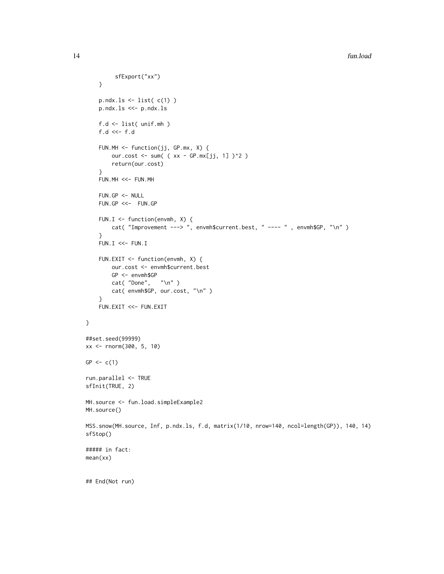```
sfExport("xx")
    }
    p.ndx.ls \leftarrow list( c(1) )
   p.ndx.ls <<- p.ndx.ls
   f.d <- list( unif.mh )
    f.d \ll-f.dFUN.MH <- function(jj, GP.mx, X) {
        our.cost <- sum( ( xx - GP.mx[jj, 1] )^2 )
        return(our.cost)
    }
   FUN.MH <<- FUN.MH
   FUN.GP < - NULLFUN.GP <<- FUN.GP
   FUN.I \leq function(envmh, X) {
        cat( "Improvement ---> ", envmh$current.best, " ---- " , envmh$GP, "\n" )
    }
   FUN.I \ll - FUN.IFUN.EXIT <- function(envmh, X) {
        our.cost <- envmh$current.best
        GP <- envmh$GP
        cat( "Done", "\ln")
        cat( envmh$GP, our.cost, "\n" )
    }
   FUN.EXIT <<- FUN.EXIT
}
##set.seed(99999)
xx <- rnorm(300, 5, 10)
GP < -c(1)run.parallel <- TRUE
sfInit(TRUE, 2)
MH.source <- fun.load.simpleExample2
MH.source()
MSS.snow(MH.source, Inf, p.ndx.ls, f.d, matrix(1/10, nrow=140, ncol=length(GP)), 140, 14)
sfStop()
##### in fact:
mean(xx)
## End(Not run)
```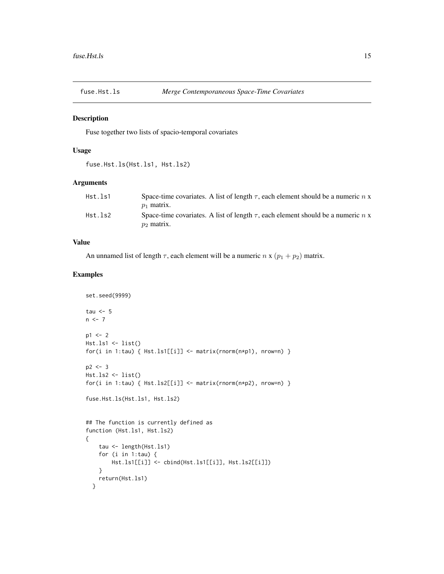<span id="page-14-0"></span>

#### Description

Fuse together two lists of spacio-temporal covariates

#### Usage

```
fuse.Hst.ls(Hst.ls1, Hst.ls2)
```
# Arguments

| Hst.ls1 | Space-time covariates. A list of length $\tau$ , each element should be a numeric n x<br>$p_1$ matrix. |
|---------|--------------------------------------------------------------------------------------------------------|
| Hst.ls2 | Space-time covariates. A list of length $\tau$ , each element should be a numeric n x<br>$p_2$ matrix. |

# Value

An unnamed list of length  $\tau$ , each element will be a numeric  $n \times (p_1 + p_2)$  matrix.

```
set.seed(9999)
tau <-5n < -7p1 < -2Hst.ls1 \leftarrow list()for(i in 1:tau) { Hst.ls1[[i]] \leftarrow matrix(rnorm(n*p1), nrow=n) }
p2 < -3Hst.ls2 \leftarrow list()for(i in 1:tau) { Hst.ls2[[i]] <- matrix(rnorm(n*p2), nrow=n) }
fuse.Hst.ls(Hst.ls1, Hst.ls2)
## The function is currently defined as
function (Hst.ls1, Hst.ls2)
{
    tau <- length(Hst.ls1)
    for (i in 1:tau) {
        Hst.ls1[[i]] <- cbind(Hst.ls1[[i]], Hst.ls2[[i]])
    }
    return(Hst.ls1)
  }
```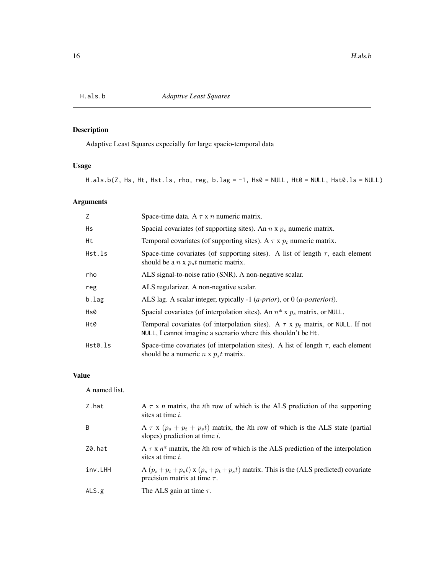<span id="page-15-1"></span><span id="page-15-0"></span>

# Description

Adaptive Least Squares expecially for large spacio-temporal data

# Usage

H.als.b(Z, Hs, Ht, Hst.ls, rho, reg, b.lag = -1, Hs0 = NULL, Ht0 = NULL, Hst0.ls = NULL)

# Arguments

| Z       | Space-time data. A $\tau$ x n numeric matrix.                                                                                                           |
|---------|---------------------------------------------------------------------------------------------------------------------------------------------------------|
| Hs      | Spacial covariates (of supporting sites). An $n \times p_s$ numeric matrix.                                                                             |
| Ht      | Temporal covariates (of supporting sites). A $\tau$ x $p_t$ numeric matrix.                                                                             |
| Hst.ls  | Space-time covariates (of supporting sites). A list of length $\tau$ , each element<br>should be a $n \times p_s t$ numeric matrix.                     |
| rho     | ALS signal-to-noise ratio (SNR). A non-negative scalar.                                                                                                 |
| reg     | ALS regularizer. A non-negative scalar.                                                                                                                 |
| b.lag   | ALS lag. A scalar integer, typically -1 ( <i>a-prior</i> ), or $0$ ( <i>a-posteriori</i> ).                                                             |
| Hs0     | Spacial covariates (of interpolation sites). An $n^*$ x $p_s$ matrix, or NULL.                                                                          |
| Ht0     | Temporal covariates (of interpolation sites). A $\tau$ x $p_t$ matrix, or NULL. If not<br>NULL, I cannot imagine a scenario where this shouldn't be Ht. |
| Hst0.ls | Space-time covariates (of interpolation sites). A list of length $\tau$ , each element<br>should be a numeric $n \times p_s t$ matrix.                  |

# Value

A named list.

| Z.hat        | A $\tau$ x n matrix, the <i>i</i> th row of which is the ALS prediction of the supporting<br>sites at time <i>i</i> .                 |
|--------------|---------------------------------------------------------------------------------------------------------------------------------------|
| <sup>B</sup> | A $\tau$ x ( $p_s + p_t + p_s t$ ) matrix, the <i>i</i> th row of which is the ALS state (partial<br>slopes) prediction at time $i$ . |
| Z0.hat       | A $\tau$ x $n^*$ matrix, the <i>i</i> th row of which is the ALS prediction of the interpolation<br>sites at time <i>i</i> .          |
| inv.LHH      | A $(p_s + p_t + p_s t)$ x $(p_s + p_t + p_s t)$ matrix. This is the (ALS predicted) covariate<br>precision matrix at time $\tau$ .    |
| ALS.g        | The ALS gain at time $\tau$ .                                                                                                         |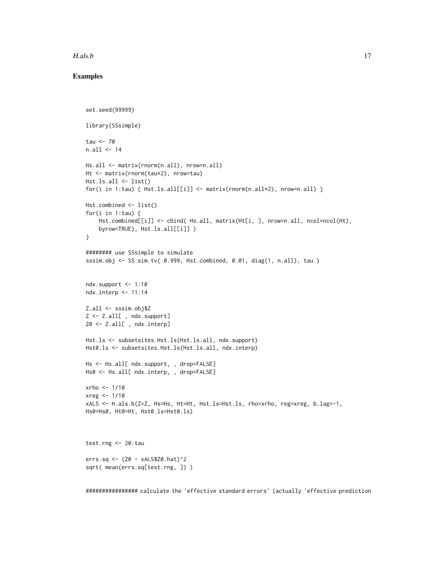#### H.als.b 17

#### Examples

```
set.seed(99999)
library(SSsimple)
tau <- 70
n.all <- 14
Hs.all <- matrix(rnorm(n.all), nrow=n.all)
Ht <- matrix(rnorm(tau*2), nrow=tau)
Hst.ls.all \leftarrow list()for(i in 1:tau) { Hst.ls.all[[i]] <- matrix(rnorm(n.all*2), nrow=n.all) }
Hst.combined <- list()
for(i in 1:tau) {
    Hst.combined[[i]] <- cbind( Hs.all, matrix(Ht[i, ], nrow=n.all, ncol=ncol(Ht),
    byrow=TRUE), Hst.ls.all[[i]] )
}
######## use SSsimple to simulate
sssim.obj <- SS.sim.tv( 0.999, Hst.combined, 0.01, diag(1, n.all), tau )
ndx.support <- 1:10
ndx.interp <- 11:14
Z.all <- sssim.obj$Z
Z <- Z.all[ , ndx.support]
Z0 <- Z.all[ , ndx.interp]
Hst.ls <- subsetsites.Hst.ls(Hst.ls.all, ndx.support)
Hst0.ls <- subsetsites.Hst.ls(Hst.ls.all, ndx.interp)
Hs <- Hs.all[ ndx.support, , drop=FALSE]
Hs0 <- Hs.all[ ndx.interp, , drop=FALSE]
xrho < -1/10xreg <- 1/10
xALS <- H.als.b(Z=Z, Hs=Hs, Ht=Ht, Hst.ls=Hst.ls, rho=xrho, reg=xreg, b.lag=-1,
Hs0=Hs0, Ht0=Ht, Hst0.ls=Hst0.ls)
test.rng <- 20:tau
errs.sq <- (Z0 - xALS$Z0.hat)^2
sqrt( mean(errs.sq[test.rng, ]) )
```
################ calculate the 'effective standard errors' (actually 'effective prediction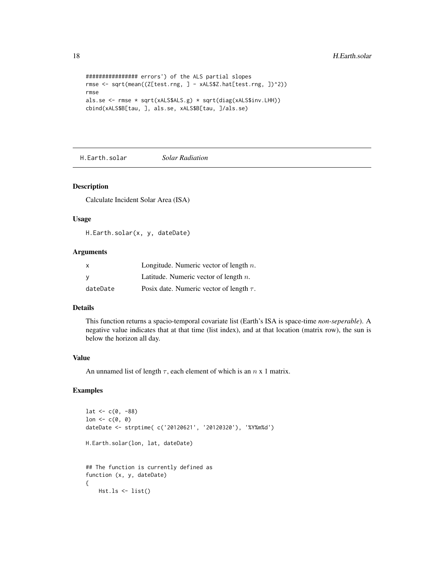```
################ errors') of the ALS partial slopes
rmse <- sqrt(mean((Z[test.rng, ] - xALS$Z.hat[test.rng, ])^2))
rmse
als.se <- rmse * sqrt(xALS$ALS.g) * sqrt(diag(xALS$inv.LHH))
cbind(xALS$B[tau, ], als.se, xALS$B[tau, ]/als.se)
```
H.Earth.solar *Solar Radiation*

#### Description

Calculate Incident Solar Area (ISA)

#### Usage

H.Earth.solar(x, y, dateDate)

#### Arguments

| X        | Longitude. Numeric vector of length $n$ .     |
|----------|-----------------------------------------------|
| <b>V</b> | Latitude. Numeric vector of length $n$ .      |
| dateDate | Posix date. Numeric vector of length $\tau$ . |

# Details

This function returns a spacio-temporal covariate list (Earth's ISA is space-time *non-seperable*). A negative value indicates that at that time (list index), and at that location (matrix row), the sun is below the horizon all day.

#### Value

An unnamed list of length  $\tau$ , each element of which is an  $n \times 1$  matrix.

```
lat < -c(0, -88)lon \leftarrow c(0, 0)
dateDate <- strptime( c('20120621', '20120320'), '%Y%m%d')
H.Earth.solar(lon, lat, dateDate)
## The function is currently defined as
function (x, y, dateDate)
{
    Hst.ls <- list()
```
<span id="page-17-0"></span>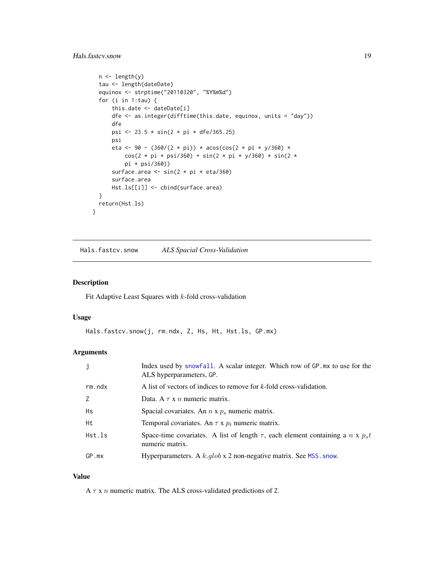# <span id="page-18-0"></span>Hals.fastcv.snow 19

```
n \leftarrow length(y)
  tau <- length(dateDate)
  equinox <- strptime("20110320", "%Y%m%d")
  for (i in 1:tau) {
      this.date <- dateDate[i]
      dfe <- as.integer(difftime(this.date, equinox, units = "day"))
      dfe
      psi <- 23.5 * sin(2 * pi * dfe/365.25)
      psi
      eta <- 90 - (360/(2 * pi)) * acos(cos(2 * pi * y/360) *
          cos(2 * pi * psi/360) + sin(2 * pi * y/360) * sin(2 *pi * psi/360))
      surface.area <- sin(2 * pi * eta/360)
      surface.area
      Hst.ls[[i]] <- cbind(surface.area)
  }
 return(Hst.ls)
}
```
<span id="page-18-1"></span>Hals.fastcv.snow *ALS Spacial Cross-Validation*

#### Description

Fit Adaptive Least Squares with  $k$ -fold cross-validation

#### Usage

```
Hals.fastcv.snow(j, rm.ndx, Z, Hs, Ht, Hst.ls, GP.mx)
```
#### Arguments

| j         | Index used by snowfall. A scalar integer. Which row of GP mx to use for the<br>ALS hyperparameters, GP.        |
|-----------|----------------------------------------------------------------------------------------------------------------|
| rm.ndx    | A list of vectors of indices to remove for k-fold cross-validation.                                            |
| Z         | Data. A $\tau$ x n numeric matrix.                                                                             |
| <b>Hs</b> | Spacial covariates. An $n \times p_s$ numeric matrix.                                                          |
| Ht        | Temporal covariates. An $\tau$ x $p_t$ numeric matrix.                                                         |
| Hst.ls    | Space-time covariates. A list of length $\tau$ , each element containing a $n \times p_s t$<br>numeric matrix. |
| GP.mx     | Hyperparameters. A $k$ .glob x 2 non-negative matrix. See MSS. snow.                                           |

#### Value

A  $\tau$  x n numeric matrix. The ALS cross-validated predictions of Z.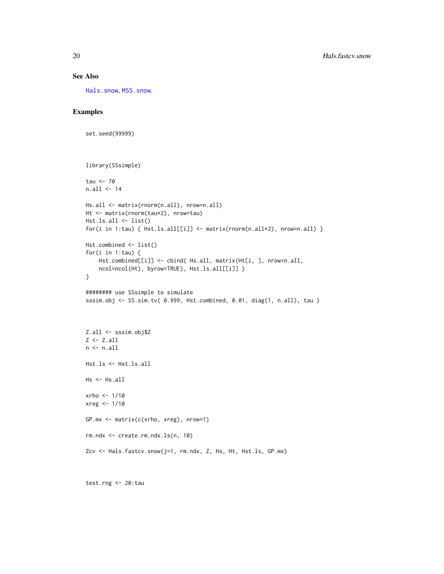# See Also

[Hals.snow](#page-21-1), [MSS.snow](#page-27-1).

# Examples

```
set.seed(99999)
library(SSsimple)
tau <- 70
n.all <- 14
Hs.all <- matrix(rnorm(n.all), nrow=n.all)
Ht <- matrix(rnorm(tau*2), nrow=tau)
Hst.ls.all <- list()
for(i in 1:tau) { Hst.ls.all[[i]] \leftarrow matrix(rnorm(n.all*2), nrow=n.all) }
Hst.combined <- list()
for(i in 1:tau) {
    Hst.combined[[i]] <- cbind( Hs.all, matrix(Ht[i, ], nrow=n.all,
    ncol=ncol(Ht), byrow=TRUE), Hst.ls.all[[i]] )
}
######## use SSsimple to simulate
sssim.obj <- SS.sim.tv( 0.999, Hst.combined, 0.01, diag(1, n.all), tau )
Z.all <- sssim.obj$Z
Z <- Z.all
n \leftarrow n.all
Hst.ls <- Hst.ls.all
Hs <- Hs.all
xrho <- 1/10
xreg <- 1/10
GP.mx <- matrix(c(xrho, xreg), nrow=1)
rm.ndx <- create.rm.ndx.ls(n, 10)
Zcv <- Hals.fastcv.snow(j=1, rm.ndx, Z, Hs, Ht, Hst.ls, GP.mx)
```
test.rng <- 20:tau

<span id="page-19-0"></span>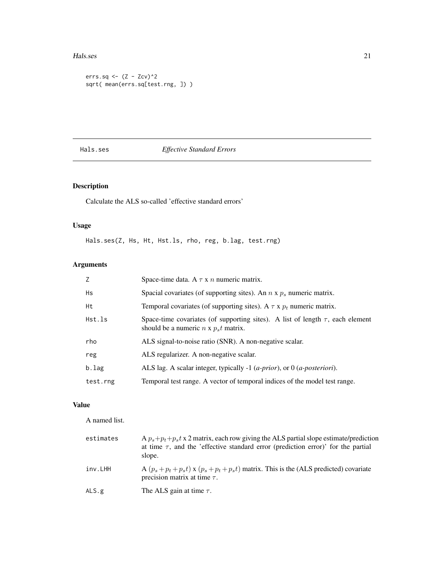#### <span id="page-20-0"></span>Hals.ses 21

```
errs.sq \leq (Z - Zcv)^2
sqrt( mean(errs.sq[test.rng, ]) )
```
# Hals.ses *Effective Standard Errors*

# Description

Calculate the ALS so-called 'effective standard errors'

# Usage

Hals.ses(Z, Hs, Ht, Hst.ls, rho, reg, b.lag, test.rng)

# Arguments

| Z        | Space-time data. A $\tau$ x n numeric matrix.                                                                                       |
|----------|-------------------------------------------------------------------------------------------------------------------------------------|
| Hs       | Spacial covariates (of supporting sites). An $n \times p_s$ numeric matrix.                                                         |
| Ht       | Temporal covariates (of supporting sites). A $\tau$ x $p_t$ numeric matrix.                                                         |
| Hst.ls   | Space-time covariates (of supporting sites). A list of length $\tau$ , each element<br>should be a numeric $n \times p_s t$ matrix. |
| rho      | ALS signal-to-noise ratio (SNR). A non-negative scalar.                                                                             |
| reg      | ALS regularizer. A non-negative scalar.                                                                                             |
| b.lag    | ALS lag. A scalar integer, typically -1 ( <i>a-prior</i> ), or $0$ ( <i>a-posteriori</i> ).                                         |
| test.rng | Temporal test range. A vector of temporal indices of the model test range.                                                          |

# Value

A named list.

| estimates | A $p_s+p_t+p_st \times 2$ matrix, each row giving the ALS partial slope estimate/prediction<br>at time $\tau$ , and the 'effective standard error (prediction error)' for the partial<br>slope. |
|-----------|-------------------------------------------------------------------------------------------------------------------------------------------------------------------------------------------------|
| inv.LHH   | A $(p_s + p_t + p_s t)$ x $(p_s + p_t + p_s t)$ matrix. This is the (ALS predicted) covariate<br>precision matrix at time $\tau$ .                                                              |
| ALS.g     | The ALS gain at time $\tau$ .                                                                                                                                                                   |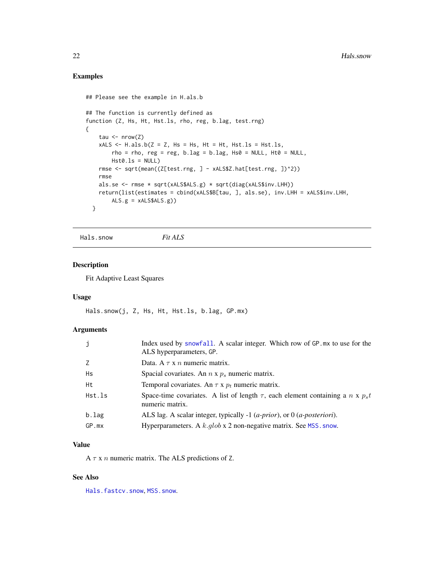# Examples

```
## Please see the example in H.als.b
## The function is currently defined as
function (Z, Hs, Ht, Hst.ls, rho, reg, b.lag, test.rng)
{
    tau \leq nrow(Z)
   xALS \leq H.als.b(Z = Z, Hs = Hs, Ht = Ht, Hst.ls = Hst.ls,
       rho = rho, reg = reg, b.lag = b.lag, Hs0 = NULL, Ht0 = NULL,
       Hst0.ls = NULL)rmse <- sqrt(mean((Z[test.rng, ] - xALS$Z.hat[test.rng, ])^2))
   rmse
   als.se <- rmse * sqrt(xALS$ALS.g) * sqrt(diag(xALS$inv.LHH))
   return(list(estimates = cbind(xALS$B[tau, ], als.se), inv.LHH = xALS$inv.LHH,
       ALS.g = xALS$ALS.g)}
```
<span id="page-21-1"></span>Hals.snow *Fit ALS*

# Description

Fit Adaptive Least Squares

# Usage

Hals.snow(j, Z, Hs, Ht, Hst.ls, b.lag, GP.mx)

#### Arguments

| j           | Index used by snowfall. A scalar integer. Which row of GP mx to use for the<br>ALS hyperparameters, GP.   |
|-------------|-----------------------------------------------------------------------------------------------------------|
| 7           | Data. A $\tau$ x n numeric matrix.                                                                        |
| Hs          | Spacial covariates. An $n \times p_s$ numeric matrix.                                                     |
| Ht          | Temporal covariates. An $\tau$ x $p_t$ numeric matrix.                                                    |
| Hst.ls      | Space-time covariates. A list of length $\tau$ , each element containing a n x $p_s t$<br>numeric matrix. |
| b.lag       | ALS lag. A scalar integer, typically -1 ( <i>a-prior</i> ), or 0 ( <i>a-posteriori</i> ).                 |
| $GP$ . $mx$ | Hyperparameters. A $k$ . $glob \times 2$ non-negative matrix. See MSS. snow.                              |

# Value

A  $\tau$  x n numeric matrix. The ALS predictions of Z.

# See Also

[Hals.fastcv.snow](#page-18-1), [MSS.snow](#page-27-1).

<span id="page-21-0"></span>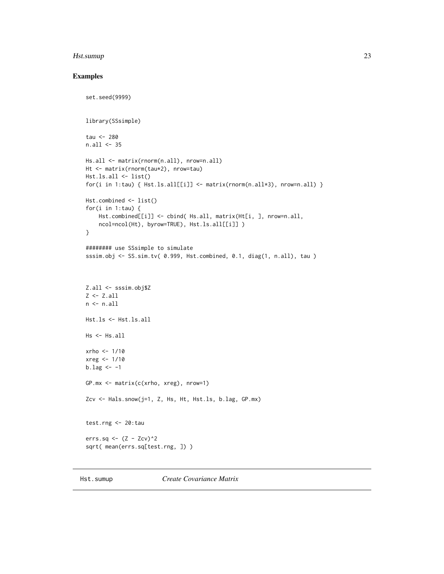# <span id="page-22-0"></span>Hst.sumup 23

```
set.seed(9999)
library(SSsimple)
tau <- 280
n.all <- 35
Hs.all <- matrix(rnorm(n.all), nrow=n.all)
Ht <- matrix(rnorm(tau*2), nrow=tau)
Hst.ls.all <- list()
for(i in 1:tau) { Hst.ls.all[[i]] \leftarrow matrix(rnorm(n.all*3), nrow=n.all) }
Hst.combined <- list()
for(i in 1:tau) {
    Hst.combined[[i]] <- cbind( Hs.all, matrix(Ht[i, ], nrow=n.all,
    ncol=ncol(Ht), byrow=TRUE), Hst.ls.all[[i]] )
}
######## use SSsimple to simulate
sssim.obj <- SS.sim.tv( 0.999, Hst.combined, 0.1, diag(1, n.all), tau )
Z.all <- sssim.obj$Z
Z <- Z.all
n \leftarrow n.all
Hst.ls <- Hst.ls.all
Hs <- Hs.all
xrho <- 1/10
xreg <- 1/10
b.lag <-1GP.mx <- matrix(c(xrho, xreg), nrow=1)
Zcv <- Hals.snow(j=1, Z, Hs, Ht, Hst.ls, b.lag, GP.mx)
test.rng <- 20:tau
errs.sq <- (Z - Zcv)^2sqrt( mean(errs.sq[test.rng, ]) )
```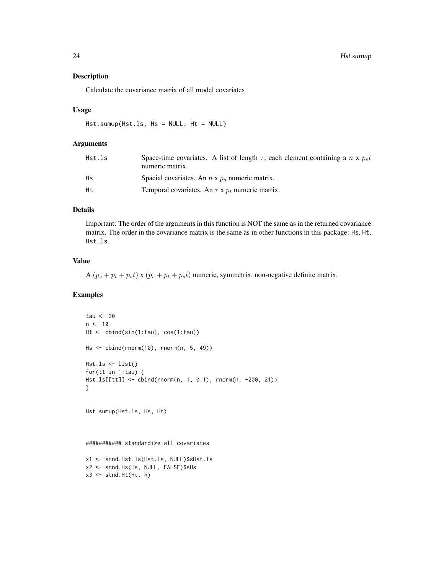# Description

Calculate the covariance matrix of all model covariates

# Usage

Hst.sumup(Hst.ls, Hs = NULL, Ht = NULL)

# Arguments

| Hst.ls | Space-time covariates. A list of length $\tau$ , each element containing a n x $p_s t$<br>numeric matrix. |
|--------|-----------------------------------------------------------------------------------------------------------|
| Нs     | Spacial covariates. An $n \times p_s$ numeric matrix.                                                     |
| Ht.    | Temporal covariates. An $\tau$ x $p_t$ numeric matrix.                                                    |

#### Details

Important: The order of the arguments in this function is NOT the same as in the returned covariance matrix. The order in the covariance matrix is the same as in other functions in this package: Hs, Ht, Hst.ls.

# Value

A  $(p_s + p_t + p_s t)$  x  $(p_s + p_t + p_s t)$  numeric, symmetrix, non-negative definite matrix.

```
tau <-20n < -10Ht <- cbind(sin(1:tau), cos(1:tau))
Hs <- cbind(rnorm(10), rnorm(n, 5, 49))
Hst.ls \leftarrow list()for(tt in 1:tau) {
Hst.ls[[tt]] <- cbind(rnorm(n, 1, 0.1), rnorm(n, -200, 21))
}
Hst.sumup(Hst.ls, Hs, Ht)
########### standardize all covariates
x1 <- stnd.Hst.ls(Hst.ls, NULL)$sHst.ls
x2 <- stnd.Hs(Hs, NULL, FALSE)$sHs
x3 \le- stnd.Ht(Ht, n)
```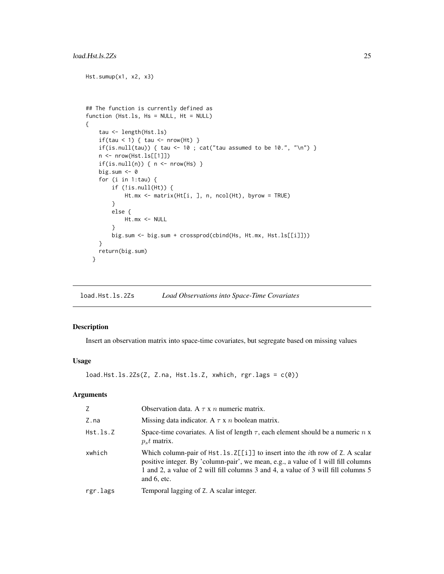#### <span id="page-24-0"></span>load.Hst.ls.2Zs 25

```
Hst.sumup(x1, x2, x3)
## The function is currently defined as
function (Hst.ls, Hs = NULL, Ht = NULL)
{
   tau <- length(Hst.ls)
   if(tau < 1) { tau <- nrow(Ht) }
   if(is.null(tau)) { tau <- 10 ; cat("tau assumed to be 10.", "\n") }
   n <- nrow(Hst.ls[[1]])
   if(is.null(n)) { n < - nrow(Hs) }big.sum <- 0
    for (i in 1:tau) {
        if (!is.null(Ht)) {
            Ht.mx <- matrix(Ht[i, ], n, ncol(Ht), byrow = TRUE)
        }
       else {
           Ht.mx <- NULL
        }
       big.sum <- big.sum + crossprod(cbind(Hs, Ht.mx, Hst.ls[[i]]))
   }
   return(big.sum)
  }
```
<span id="page-24-1"></span>load.Hst.ls.2Zs *Load Observations into Space-Time Covariates*

# Description

Insert an observation matrix into space-time covariates, but segregate based on missing values

#### Usage

```
load.Hst.ls.2Zs(Z, Z.na, Hst.ls.Z, xwhich, rgr.lags = <math>c(0)</math>)
```
# Arguments

| 7        | Observation data. A $\tau$ x n numeric matrix.                                                                                                                                                                                                                                     |
|----------|------------------------------------------------------------------------------------------------------------------------------------------------------------------------------------------------------------------------------------------------------------------------------------|
| Z.na     | Missing data indicator. A $\tau$ x n boolean matrix.                                                                                                                                                                                                                               |
| Hst.ls.Z | Space-time covariates. A list of length $\tau$ , each element should be a numeric n x<br>$ps t$ matrix.                                                                                                                                                                            |
| xwhich   | Which column-pair of $Hst.1s.2[[1]]$ to insert into the <i>i</i> th row of Z. A scalar<br>positive integer. By 'column-pair', we mean, e.g., a value of 1 will fill columns<br>1 and 2, a value of 2 will fill columns 3 and 4, a value of 3 will fill columns 5<br>and $6$ , etc. |
| rgr.lags | Temporal lagging of Z. A scalar integer.                                                                                                                                                                                                                                           |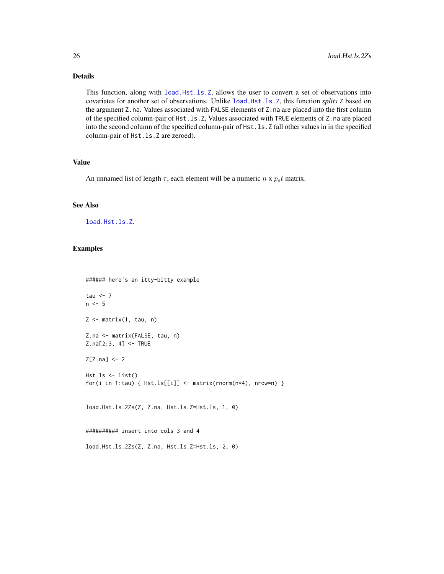# Details

This function, along with [load.Hst.ls.Z](#page-26-1), allows the user to convert a set of observations into covariates for another set of observations. Unlike [load.Hst.ls.Z](#page-26-1), this function *splits* Z based on the argument Z.na. Values associated with FALSE elements of Z.na are placed into the first column of the specified column-pair of Hst.ls.Z, Values associated with TRUE elements of Z.na are placed into the second column of the specified column-pair of Hst.ls.Z (all other values in in the specified column-pair of Hst.ls.Z are zeroed).

#### Value

An unnamed list of length  $\tau$ , each element will be a numeric  $n \times p_s t$  matrix.

#### See Also

[load.Hst.ls.Z](#page-26-1).

#### Examples

```
###### here's an itty-bitty example
tau <-7n \leq -5Z \leq - matrix(1, tau, n)
Z.na <- matrix(FALSE, tau, n)
Z.na[2:3, 4] <- TRUE
Z[Z.na] <- 2
Hst.ls <- list()
for(i in 1:tau) { Hst.ls[[i]] \leftarrow matrix(rnorm(n*4), nrow=n) }
load.Hst.ls.2Zs(Z, Z.na, Hst.ls.Z=Hst.ls, 1, 0)
########## insert into cols 3 and 4
```
load.Hst.ls.2Zs(Z, Z.na, Hst.ls.Z=Hst.ls, 2, 0)

<span id="page-25-0"></span>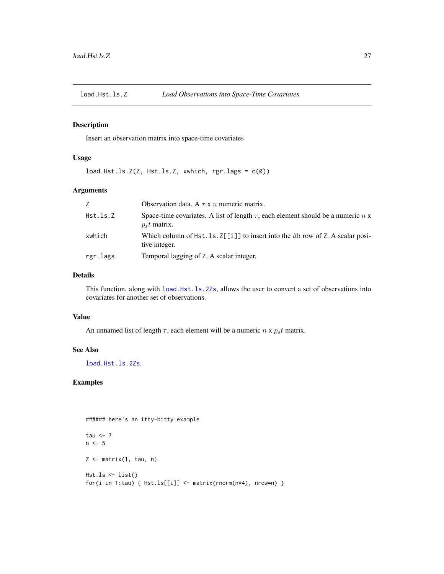<span id="page-26-1"></span><span id="page-26-0"></span>

# Description

Insert an observation matrix into space-time covariates

# Usage

load.Hst.ls.Z(Z, Hst.ls.Z, xwhich, rgr.lags = c(0))

# Arguments

| 7        | Observation data. A $\tau$ x n numeric matrix.                                                           |
|----------|----------------------------------------------------------------------------------------------------------|
| Hst.ls.Z | Space-time covariates. A list of length $\tau$ , each element should be a numeric n x<br>$p_s t$ matrix. |
| xwhich   | Which column of $Hst.ls.Z[[1]]$ to insert into the <i>i</i> th row of Z. A scalar posi-<br>tive integer. |
| rgr.lags | Temporal lagging of Z. A scalar integer.                                                                 |

#### Details

This function, along with [load.Hst.ls.2Zs](#page-24-1), allows the user to convert a set of observations into covariates for another set of observations.

#### Value

An unnamed list of length  $\tau$ , each element will be a numeric  $n \times p_s t$  matrix.

#### See Also

[load.Hst.ls.2Zs](#page-24-1).

```
###### here's an itty-bitty example
tau \leftarrow 7
n \leq -5Z \leftarrow matrix(1, tau, n)Hst.ls <- list()
for(i in 1:tau) { Hst.ls[[i]] \leftarrow matrix(rnorm(n*4), nrow=n) }
```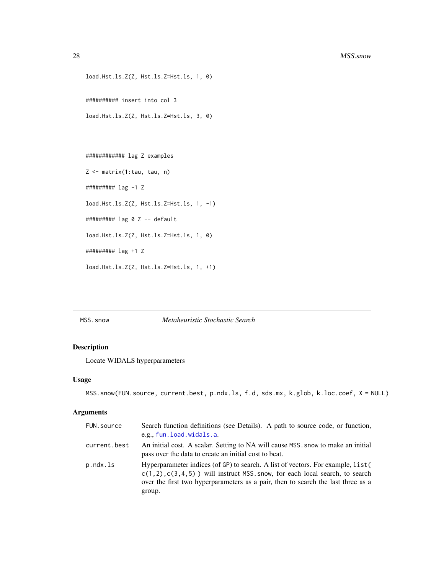```
load.Hst.ls.Z(Z, Hst.ls.Z=Hst.ls, 1, 0)
########## insert into col 3
load.Hst.ls.Z(Z, Hst.ls.Z=Hst.ls, 3, 0)
```

```
############ lag Z examples
Z <- matrix(1:tau, tau, n)
######### lag -1 Z
load.Hst.ls.Z(Z, Hst.ls.Z=Hst.ls, 1, -1)
######### lag 0 Z -- default
load.Hst.ls.Z(Z, Hst.ls.Z=Hst.ls, 1, 0)
######### lag +1 Z
load.Hst.ls.Z(Z, Hst.ls.Z=Hst.ls, 1, +1)
```
<span id="page-27-1"></span>MSS.snow *Metaheuristic Stochastic Search*

# Description

Locate WIDALS hyperparameters

#### Usage

```
MSS.snow(FUN.source, current.best, p.ndx.ls, f.d, sds.mx, k.glob, k.loc.coef, X = NULL)
```
# Arguments

| FUN.source   | Search function definitions (see Details). A path to source code, or function,<br>e.g., fun.load.widals.a.                                                                                                                                                        |
|--------------|-------------------------------------------------------------------------------------------------------------------------------------------------------------------------------------------------------------------------------------------------------------------|
| current.best | An initial cost. A scalar. Setting to NA will cause MSS, snow to make an initial<br>pass over the data to create an initial cost to beat.                                                                                                                         |
| p.ndx.ls     | Hyperparameter indices (of GP) to search. A list of vectors. For example, list (<br>$c(1, 2), c(3, 4, 5)$ will instruct MSS. snow, for each local search, to search<br>over the first two hyperparameters as a pair, then to search the last three as a<br>group. |

<span id="page-27-0"></span>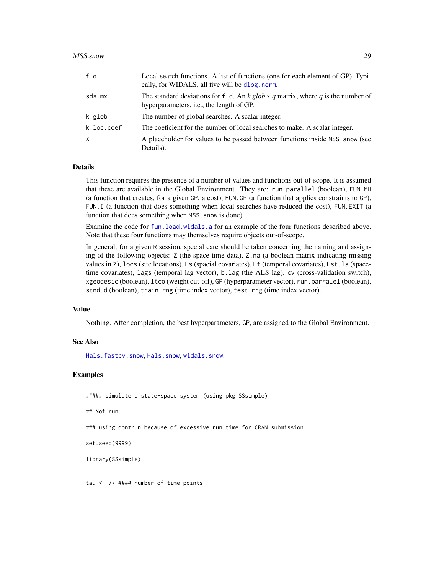#### <span id="page-28-0"></span>MSS.snow 29

| f.d        | Local search functions. A list of functions (one for each element of GP). Typi-<br>cally, for WIDALS, all five will be dlog.norm.   |
|------------|-------------------------------------------------------------------------------------------------------------------------------------|
| sds.mx     | The standard deviations for f.d. An k.glob x q matrix, where q is the number of<br>hyperparameters, <i>i.e.</i> , the length of GP. |
| k.glob     | The number of global searches. A scalar integer.                                                                                    |
| k.loc.coef | The coeficient for the number of local searches to make. A scalar integer.                                                          |
| $\times$   | A placeholder for values to be passed between functions inside MSS, snow (see<br>Details).                                          |

#### Details

This function requires the presence of a number of values and functions out-of-scope. It is assumed that these are available in the Global Environment. They are: run.parallel (boolean), FUN.MH (a function that creates, for a given GP, a cost), FUN.GP (a function that applies constraints to GP), FUN.I (a function that does something when local searches have reduced the cost), FUN.EXIT (a function that does something when MSS. snow is done).

Examine the code for [fun.load.widals.a](#page-11-2) for an example of the four functions described above. Note that these four functions may themselves require objects out-of-scope.

In general, for a given R session, special care should be taken concerning the naming and assigning of the following objects: Z (the space-time data), Z.na (a boolean matrix indicating missing values in Z), locs (site locations), Hs (spacial covariates), Ht (temporal covariates), Hst.ls (spacetime covariates), lags (temporal lag vector), b.lag (the ALS lag), cv (cross-validation switch), xgeodesic (boolean), ltco (weight cut-off), GP (hyperparameter vector), run.parralel (boolean), stnd.d (boolean), train.rng (time index vector), test.rng (time index vector).

#### Value

Nothing. After completion, the best hyperparameters, GP, are assigned to the Global Environment.

#### See Also

[Hals.fastcv.snow](#page-18-1), [Hals.snow](#page-21-1), [widals.snow](#page-43-1).

#### Examples

##### simulate a state-space system (using pkg SSsimple)

## Not run:

### using dontrun because of excessive run time for CRAN submission

set.seed(9999)

library(SSsimple)

tau <- 77 #### number of time points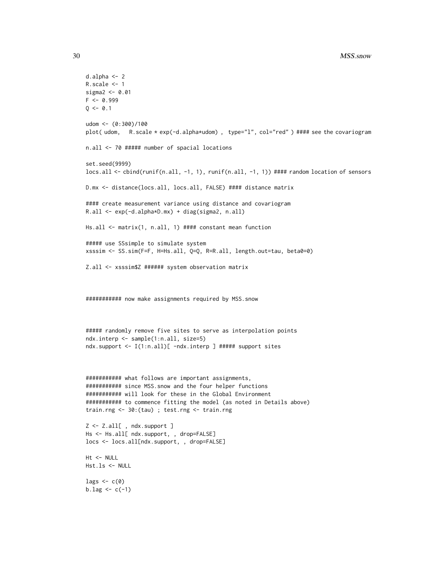```
d.alpha <- 2
R.scale <- 1
sigma2 <- 0.01
F < -0.999Q \le -0.1udom <- (0:300)/100
plot( udom, R.scale * exp(-d.alpha*udom), type="l", col="red") #### see the covariogram
n.all <- 70 ##### number of spacial locations
set.seed(9999)
locs.all <- cbind(runif(n.all, -1, 1), runif(n.all, -1, 1)) #### random location of sensors
D.mx <- distance(locs.all, locs.all, FALSE) #### distance matrix
#### create measurement variance using distance and covariogram
R.all <- exp(-d.alpha*D.mx) + diag(sigma2, n.all)
Hs.all <- matrix(1, n.all, 1) #### constant mean function
##### use SSsimple to simulate system
xsssim <- SS.sim(F=F, H=Hs.all, Q=Q, R=R.all, length.out=tau, beta0=0)
Z.all <- xsssim$Z ###### system observation matrix
########### now make assignments required by MSS.snow
##### randomly remove five sites to serve as interpolation points
ndx.interp <- sample(1:n.all, size=5)
ndx.support <- I(1:n.all)[ -ndx.interp ] ##### support sites
########### what follows are important assignments,
########### since MSS.snow and the four helper functions
########### will look for these in the Global Environment
########### to commence fitting the model (as noted in Details above)
train.rng <- 30:(tau) ; test.rng <- train.rng
Z <- Z.all[ , ndx.support ]
Hs <- Hs.all[ ndx.support, , drop=FALSE]
locs <- locs.all[ndx.support, , drop=FALSE]
Ht <- NULL
Hst.ls <- NULL
lags \leftarrow c(\emptyset)b.lag <-c(-1)
```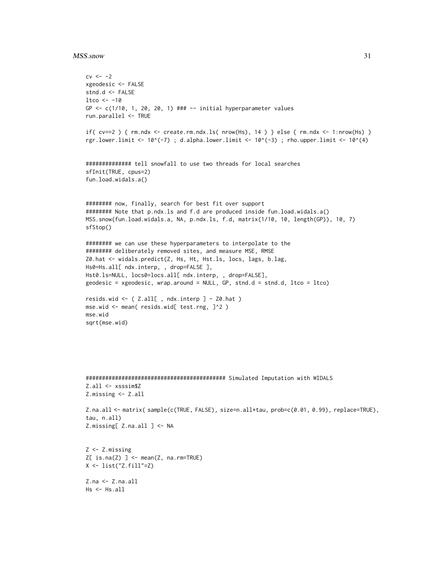#### MSS.snow 31

```
cv < -2xgeodesic <- FALSE
stnd.d <- FALSE
1tco <- -10GP <- c(1/10, 1, 20, 20, 1) ### -- initial hyperparameter values
run.parallel <- TRUE
if( cv==2 ) { rm.ndx < - create.rm.ndx.ls( nrow(Hs), 14 ) } else { rm.ndx < -1: nrow(Hs) }
rgr.lower.limit <- 10^(-7) ; d.alpha.lower.limit <- 10^(-3) ; rho.upper.limit <- 10^(4)
############## tell snowfall to use two threads for local searches
sfInit(TRUE, cpus=2)
fun.load.widals.a()
######## now, finally, search for best fit over support
######## Note that p.ndx.ls and f.d are produced inside fun.load.widals.a()
MSS.snow(fun.load.widals.a, NA, p.ndx.ls, f.d, matrix(1/10, 10, length(GP)), 10, 7)
sfStop()
######## we can use these hyperparameters to interpolate to the
######## deliberately removed sites, and measure MSE, RMSE
Z0.hat <- widals.predict(Z, Hs, Ht, Hst.ls, locs, lags, b.lag,
Hs0=Hs.all[ ndx.interp, , drop=FALSE ],
Hst0.ls=NULL, locs0=locs.all[ ndx.interp, , drop=FALSE],
geodesic = xgeodesic, wrap.around = NULL, GP, stnd.d = stnd.d, ltco = ltco)
resids.wid <- ( Z.all[ , ndx.interp ] - Z0.hat )
mse.wid <- mean( resids.wid[ test.rng, ]^2 )
mse.wid
sqrt(mse.wid)
########################################### Simulated Imputation with WIDALS
Z.all <- xsssim$Z
Z.missing <- Z.all
Z.na.all <- matrix( sample(c(TRUE, FALSE), size=n.all*tau, prob=c(0.01, 0.99), replace=TRUE),
tau, n.all)
Z.missing[ Z.na.all ] <- NA
Z <- Z.missing
Z[ is.na(Z) ] <- mean(Z, na.rm=TRUE)
X <- list("Z.fill"=Z)
Z.na <- Z.na.all
Hs <- Hs.all
```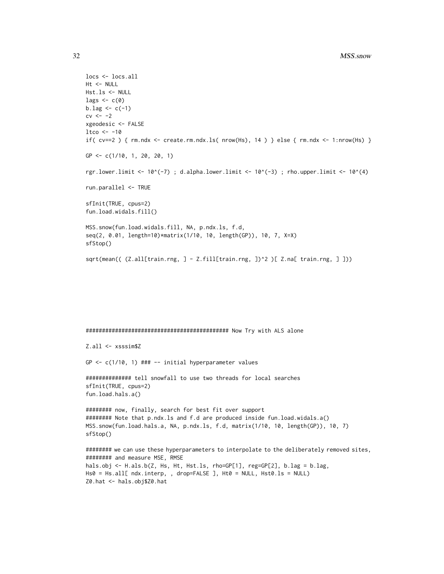```
locs <- locs.all
Ht <- NULL
Hst.ls <- NULL
lags \leftarrow c(\emptyset)b.lag <-c(-1)cv \leftarrow -2xgeodesic <- FALSE
1tco <- -10if( cv==2 ) { rm.ndx < - create.rm.ndx.ls( nrow(Hs), 14 ) } else { rm.ndx < -1: nrow(Hs) }
GP <- c(1/10, 1, 20, 20, 1)
rgr.lower.limit <- 10^(-7) ; d.alpha.lower.limit <- 10^(-3) ; rho.upper.limit <- 10^(4)
run.parallel <- TRUE
sfInit(TRUE, cpus=2)
fun.load.widals.fill()
MSS.snow(fun.load.widals.fill, NA, p.ndx.ls, f.d,
seq(2, 0.01, length=10)*matrix(1/10, 10, length(GP)), 10, 7, X=X)
sfStop()
sqrt(mean(( (Z.all[train.rng, ] - Z.fill[train.rng, ])^2 )[ Z.na[ train.rng, ] ]))
```
############################################ Now Try with ALS alone

Z.all <- xsssim\$Z

GP <- c(1/10, 1) ### -- initial hyperparameter values

```
############## tell snowfall to use two threads for local searches
sfInit(TRUE, cpus=2)
fun.load.hals.a()
```

```
######## now, finally, search for best fit over support
######## Note that p.ndx.ls and f.d are produced inside fun.load.widals.a()
MSS.snow(fun.load.hals.a, NA, p.ndx.ls, f.d, matrix(1/10, 10, length(GP)), 10, 7)
sfStop()
```

```
######## we can use these hyperparameters to interpolate to the deliberately removed sites,
######## and measure MSE, RMSE
hals.obj <- H.als.b(Z, Hs, Ht, Hst.ls, rho=GP[1], reg=GP[2], b.lag = b.lag,
Hs0 = Hs.all[ ndx.interp, , drop=FALSE ], Ht0 = NULL, Hst0.ls = NULL)
Z0.hat <- hals.obj$Z0.hat
```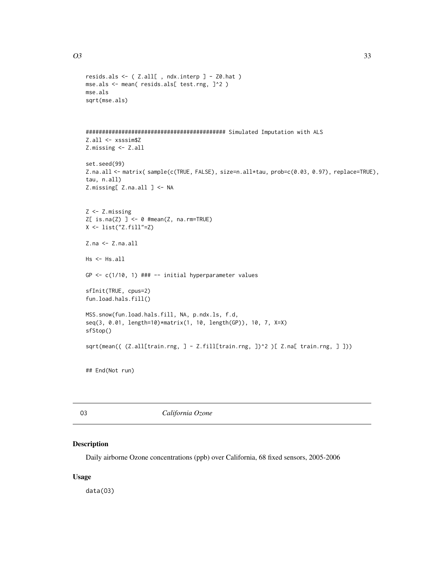```
resids.als <- ( Z.all[ , ndx.interp ] - Z0.hat )
mse.als <- mean( resids.als[ test.rng, ]^2 )
mse.als
sqrt(mse.als)
########################################### Simulated Imputation with ALS
Z.all <- xsssim$Z
Z.missing <- Z.all
set.seed(99)
Z.na.all <- matrix( sample(c(TRUE, FALSE), size=n.all*tau, prob=c(0.03, 0.97), replace=TRUE),
tau, n.all)
Z.missing[ Z.na.all ] <- NA
Z <- Z.missing
Z[ is.na(Z) ] <- 0 #mean(Z, na.rm=TRUE)
X \leftarrow list("Z.find"=Z)Z.na <- Z.na.all
Hs <- Hs.all
GP <- c(1/10, 1) ### -- initial hyperparameter values
sfInit(TRUE, cpus=2)
fun.load.hals.fill()
MSS.snow(fun.load.hals.fill, NA, p.ndx.ls, f.d,
seq(3, 0.01, length=10)*matrix(1, 10, length(GP)), 10, 7, X=X)
sfStop()
sqrt(mean(( (Z.all[train.rng, ] - Z.fill[train.rng, ])^2 )[ Z.na[ train.rng, ] ]))
## End(Not run)
```
O3 *California Ozone*

#### Description

Daily airborne Ozone concentrations (ppb) over California, 68 fixed sensors, 2005-2006

# Usage

data(O3)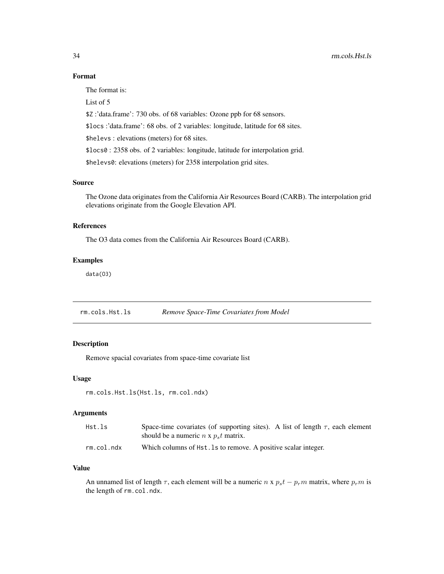# <span id="page-33-0"></span>Format

The format is:

List of 5

\$Z :'data.frame': 730 obs. of 68 variables: Ozone ppb for 68 sensors.

\$locs :'data.frame': 68 obs. of 2 variables: longitude, latitude for 68 sites.

\$helevs : elevations (meters) for 68 sites.

\$locs0 : 2358 obs. of 2 variables: longitude, latitude for interpolation grid.

\$helevs0: elevations (meters) for 2358 interpolation grid sites.

# Source

The Ozone data originates from the California Air Resources Board (CARB). The interpolation grid elevations originate from the Google Elevation API.

#### References

The O3 data comes from the California Air Resources Board (CARB).

#### Examples

data(O3)

rm.cols.Hst.ls *Remove Space-Time Covariates from Model*

### Description

Remove spacial covariates from space-time covariate list

#### Usage

```
rm.cols.Hst.ls(Hst.ls, rm.col.ndx)
```
#### Arguments

| Hst.ls     | Space-time covariates (of supporting sites). A list of length $\tau$ , each element |
|------------|-------------------------------------------------------------------------------------|
|            | should be a numeric $n \times p_s t$ matrix.                                        |
| rm.col.ndx | Which columns of $Hst.$ Is to remove. A positive scalar integer.                    |

#### Value

An unnamed list of length  $\tau$ , each element will be a numeric  $n \times p_s t - p_r m$  matrix, where  $p_r m$  is the length of rm.col.ndx.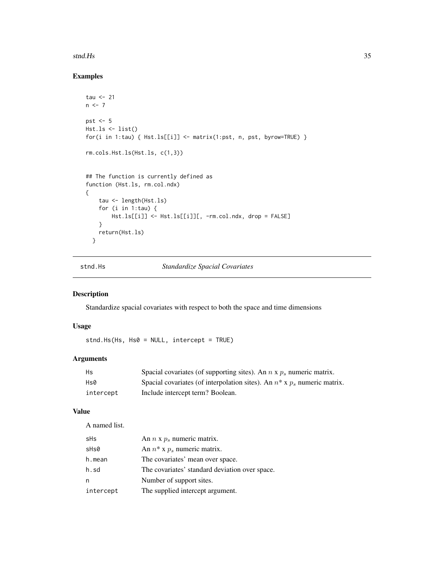#### <span id="page-34-0"></span>stnd.Hs 35

# Examples

```
tau <-21n < -7pst <-5Hst.ls <- list()
for(i in 1:tau) { Hst.ls[[i]] <- matrix(1:pst, n, pst, byrow=TRUE) }
rm.cols.Hst.ls(Hst.ls, c(1,3))
## The function is currently defined as
function (Hst.ls, rm.col.ndx)
{
   tau <- length(Hst.ls)
   for (i in 1:tau) {
       Hst.ls[[i]] <- Hst.ls[[i]][, -rm.col.ndx, drop = FALSE]
   }
   return(Hst.ls)
 }
```
<span id="page-34-1"></span>

stnd.Hs *Standardize Spacial Covariates*

# Description

Standardize spacial covariates with respect to both the space and time dimensions

# Usage

stnd.Hs(Hs, Hs0 = NULL, intercept = TRUE)

# Arguments

| Hs        | Spacial covariates (of supporting sites). An $n \times p_s$ numeric matrix.   |
|-----------|-------------------------------------------------------------------------------|
| Hs0       | Spacial covariates (of interpolation sites). An $n^*$ x $p_s$ numeric matrix. |
| intercept | Include intercept term? Boolean.                                              |

#### Value

A named list.

| sHs       | An $n \times p_s$ numeric matrix.              |
|-----------|------------------------------------------------|
| sHs0      | An $n^*$ x $p_s$ numeric matrix.               |
| h.mean    | The covariates' mean over space.               |
| h.sd      | The covariates' standard deviation over space. |
| n         | Number of support sites.                       |
| intercept | The supplied intercept argument.               |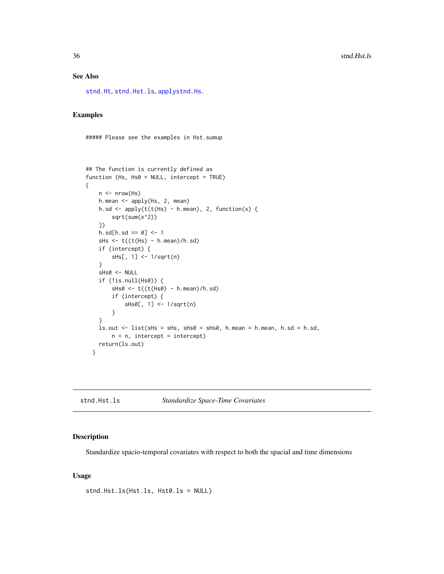# See Also

[stnd.Ht](#page-37-1), [stnd.Hst.ls](#page-35-1), [applystnd.Hs](#page-2-1).

# Examples

##### Please see the examples in Hst.sumup

```
## The function is currently defined as
function (Hs, Hs0 = NULL, intercept = TRUE)
{
   n \leq -nrow(Hs)h.mean <- apply(Hs, 2, mean)
   h.sd <- apply(t(t(Hs) - hmean), 2, function(x) {
        sqrt(sum(x^2))
    })
    h.sd[h.sd == 0] < -1sHs \leq t((t(Hs) - h.mean)/h.sd)if (intercept) {
        sHs[, 1] <- 1/sqrt(n)
    }
    sHs0 <- NULL
    if (!is.null(Hs0)) {
        sHs0 \leftarrow t((t(Hs0) - h.mean)/h.sd)if (intercept) {
            sHs0[, 1] <- 1/sqrt(n)
        }
    }
   ls.out < - list(sHs = sHs, sHs0 = sHs0, hmean = hmean, h.sd = h.sd,n = n, intercept = intercept)
   return(ls.out)
  }
```
<span id="page-35-1"></span>stnd.Hst.ls *Standardize Space-Time Covariates*

# Description

Standardize spacio-temporal covariates with respect to both the spacial and time dimensions

#### Usage

stnd.Hst.ls(Hst.ls, Hst0.ls = NULL)

<span id="page-35-0"></span>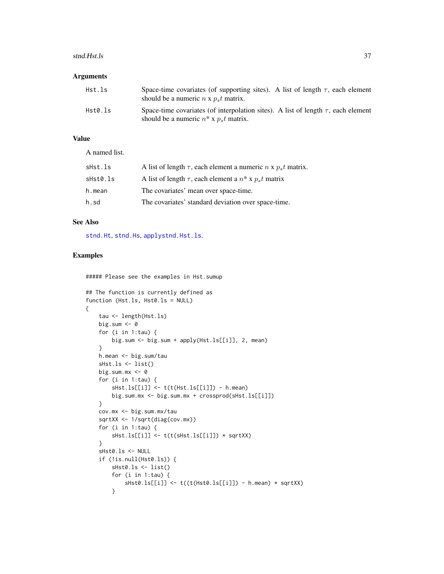#### <span id="page-36-0"></span>stnd.Hst.ls 37

#### Arguments

| Hst.ls  | Space-time covariates (of supporting sites). A list of length $\tau$ , each element<br>should be a numeric $n \times p_s t$ matrix.   |
|---------|---------------------------------------------------------------------------------------------------------------------------------------|
| Hst0.ls | Space-time covariates (of interpolation sites). A list of length $\tau$ , each element<br>should be a numeric $n^*$ x $p_s t$ matrix. |

# Value

A named list.

| A list of length $\tau$ , each element a numeric n x $p_s t$ matrix. |
|----------------------------------------------------------------------|
| A list of length $\tau$ , each element a $n^*$ x $p_s t$ matrix      |
| The covariates' mean over space-time.                                |
| The covariates' standard deviation over space-time.                  |
|                                                                      |

#### See Also

[stnd.Ht](#page-37-1), [stnd.Hs](#page-34-1), [applystnd.Hst.ls](#page-3-1).

# Examples

{

##### Please see the examples in Hst.sumup

```
## The function is currently defined as
function (Hst.ls, Hst0.ls = NULL)
   tau <- length(Hst.ls)
   big.sum <- 0
   for (i in 1:tau) {
       big.sum <- big.sum + apply(Hst.ls[[i]], 2, mean)
    }
   h.mean <- big.sum/tau
   sHst.ls <- list()
   big.sum.mx <- 0
    for (i in 1:tau) {
        sHst.ls[[i]] <- t(t(Hst.ls[[i]]) - h.mean)
       big.sum.mx <- big.sum.mx + crossprod(sHst.ls[[i]])
    }
   cov.mx <- big.sum.mx/tau
    sqrtXX <- 1/sqrt(diag(cov.mx))
    for (i in 1:tau) {
       sHst.ls[[i]] <- t(t(sHst.ls[[i]]) * sqrtXX)
    }
    sHst0.ls <- NULL
    if (!is.null(Hst0.ls)) {
       sHst0.ls <- list()
       for (i in 1:tau) {
            sHst0.ls[[i]] <- t((t(Hst0.ls[[i]]) - h.mean) * sqrtXX)
       }
```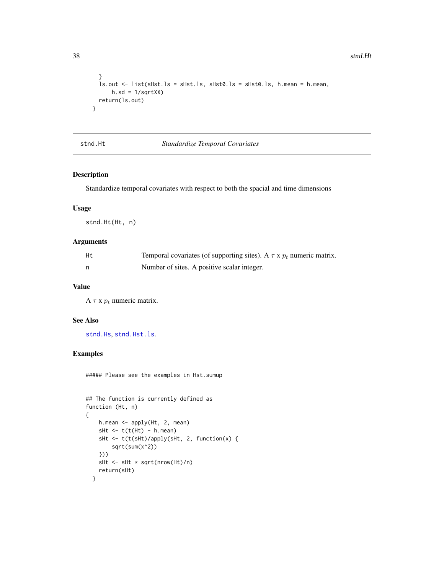```
}
 ls.out <- list(sHst.ls = sHst.ls, sHst0.ls = sHst0.ls, h.mean = h.mean,
     h.sd = 1/sqrtXX)
 return(ls.out)
}
```
<span id="page-37-1"></span>stnd.Ht *Standardize Temporal Covariates*

# Description

Standardize temporal covariates with respect to both the spacial and time dimensions

# Usage

stnd.Ht(Ht, n)

# Arguments

| Ht | Temporal covariates (of supporting sites). A $\tau$ x $p_t$ numeric matrix. |
|----|-----------------------------------------------------------------------------|
| n, | Number of sites. A positive scalar integer.                                 |

# Value

A  $\tau$  x  $p_t$  numeric matrix.

# See Also

[stnd.Hs](#page-34-1), [stnd.Hst.ls](#page-35-1).

#### Examples

##### Please see the examples in Hst.sumup

```
## The function is currently defined as
function (Ht, n)
{
    h.mean <- apply(Ht, 2, mean)
    sHt \leftarrow t(t(Ht) - h.macan)sHt <- t(t(sHt)/apply(sHt, 2, function(x) {
        sqrt(sum(x^2))
    }))
    sHt <- sHt * sqrt(nrow(Ht)/n)
    return(sHt)
  }
```
<span id="page-37-0"></span>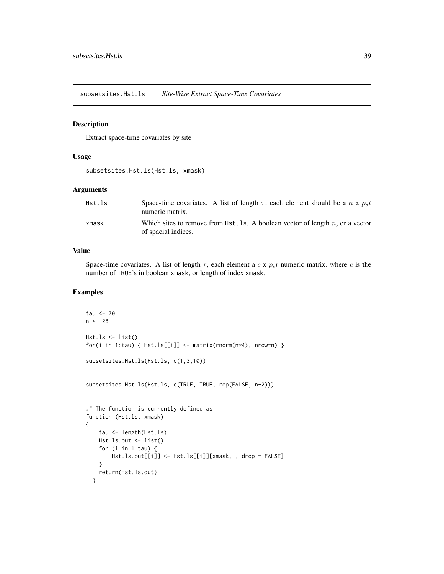<span id="page-38-0"></span>subsetsites.Hst.ls *Site-Wise Extract Space-Time Covariates*

#### Description

Extract space-time covariates by site

#### Usage

subsetsites.Hst.ls(Hst.ls, xmask)

#### Arguments

| Hst.ls | Space-time covariates. A list of length $\tau$ , each element should be a n x $ps t$<br>numeric matrix. |
|--------|---------------------------------------------------------------------------------------------------------|
| xmask  | Which sites to remove from $Hst.$ Is. A boolean vector of length n, or a vector<br>of spacial indices.  |

# Value

Space-time covariates. A list of length  $\tau$ , each element a c x  $p_s t$  numeric matrix, where c is the number of TRUE's in boolean xmask, or length of index xmask.

```
tau <-70n < -28Hst.ls < - list()for(i in 1:tau) { Hst.ls[[i]] < - matrix(rnorm(n*4), nrow=n) }subsetsites.Hst.ls(Hst.ls, c(1,3,10))
subsetsites.Hst.ls(Hst.ls, c(TRUE, TRUE, rep(FALSE, n-2)))
## The function is currently defined as
function (Hst.ls, xmask)
{
    tau <- length(Hst.ls)
   Hst.ls.out <- list()
    for (i in 1:tau) {
       Hst.ls.out[[i]] <- Hst.ls[[i]][xmask, , drop = FALSE]
    }
    return(Hst.ls.out)
  }
```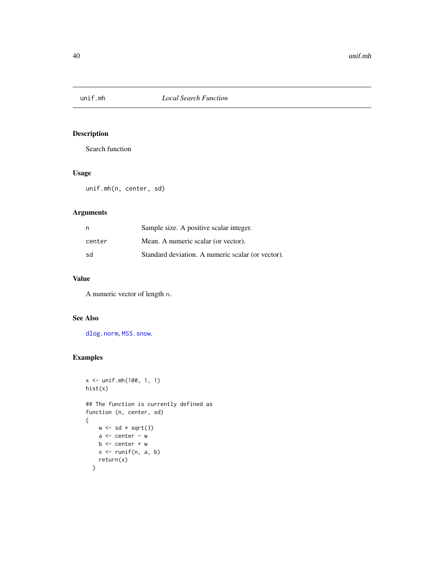<span id="page-39-1"></span><span id="page-39-0"></span>

# Description

Search function

# Usage

unif.mh(n, center, sd)

# Arguments

| n      | Sample size. A positive scalar integer.           |
|--------|---------------------------------------------------|
| center | Mean. A numeric scalar (or vector).               |
| sd     | Standard deviation. A numeric scalar (or vector). |

# Value

A numeric vector of length n.

# See Also

[dlog.norm](#page-10-1), [MSS.snow](#page-27-1).

```
x <- unif.mh(100, 1, 1)
hist(x)
## The function is currently defined as
function (n, center, sd)
{
    w \leftarrow sd * sqrt(3)a \leftarrow center - w
    b \leq center + w
    x \leftarrow runif(n, a, b)return(x)
  }
```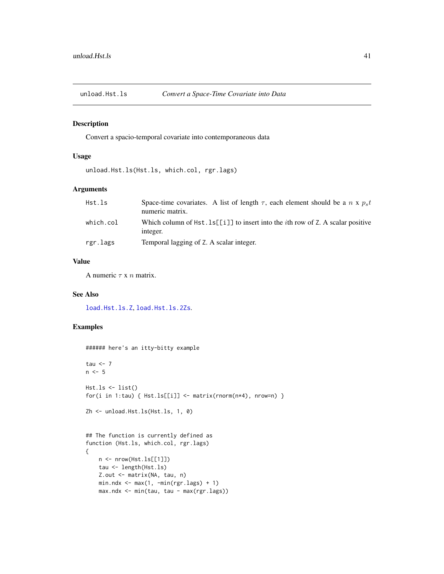<span id="page-40-0"></span>

# Description

Convert a spacio-temporal covariate into contemporaneous data

#### Usage

unload.Hst.ls(Hst.ls, which.col, rgr.lags)

# Arguments

| Hst.ls    | Space-time covariates. A list of length $\tau$ , each element should be a n x $ps t$<br>numeric matrix. |
|-----------|---------------------------------------------------------------------------------------------------------|
| which.col | Which column of $Hst. 1s[[i]]$ to insert into the <i>i</i> th row of Z. A scalar positive<br>integer.   |
| rgr.lags  | Temporal lagging of Z. A scalar integer.                                                                |

#### Value

A numeric  $\tau$  x  $n$  matrix.

# See Also

[load.Hst.ls.Z](#page-26-1), [load.Hst.ls.2Zs](#page-24-1).

```
###### here's an itty-bitty example
tau <-7n < -5Hst.ls < - list()for(i in 1:tau) { Hst.ls[[i]] \leftarrow matrix(rnorm(n*4), nrow=n) }
Zh <- unload.Hst.ls(Hst.ls, 1, 0)
## The function is currently defined as
function (Hst.ls, which.col, rgr.lags)
{
   n <- nrow(Hst.ls[[1]])
   tau <- length(Hst.ls)
   Z.out <- matrix(NA, tau, n)
   min.ndx \leq max(1, -min(rgr.lags) + 1)max.ndx <- min(tau, tau - max(rgr.lags))
```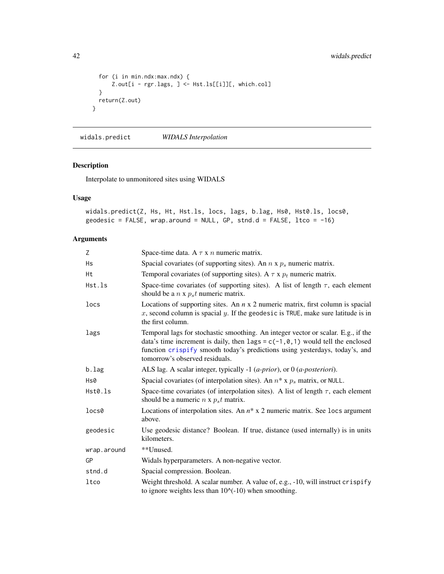```
for (i in min.ndx:max.ndx) {
     Z.out[i - rgr.lags, ] <- Hst.ls[[i]][, which.col]
 }
 return(Z.out)
}
```
<span id="page-41-1"></span>widals.predict *WIDALS Interpolation*

# Description

Interpolate to unmonitored sites using WIDALS

# Usage

```
widals.predict(Z, Hs, Ht, Hst.ls, locs, lags, b.lag, Hs0, Hst0.ls, locs0,
geodesic = FALSE, wrap.around = NULL, GP, stnd.d = FALSE, ltco = -16)
```
# Arguments

| Z           | Space-time data. A $\tau$ x n numeric matrix.                                                                                                                                                                                                                                           |
|-------------|-----------------------------------------------------------------------------------------------------------------------------------------------------------------------------------------------------------------------------------------------------------------------------------------|
| Hs          | Spacial covariates (of supporting sites). An $n \times p_s$ numeric matrix.                                                                                                                                                                                                             |
| Ht          | Temporal covariates (of supporting sites). A $\tau$ x $p_t$ numeric matrix.                                                                                                                                                                                                             |
| Hst.ls      | Space-time covariates (of supporting sites). A list of length $\tau$ , each element<br>should be a $n \times p_s t$ numeric matrix.                                                                                                                                                     |
| locs        | Locations of supporting sites. An $n \times 2$ numeric matrix, first column is spacial<br>x, second column is spacial y. If the geodesic is TRUE, make sure latitude is in<br>the first column.                                                                                         |
| lags        | Temporal lags for stochastic smoothing. An integer vector or scalar. E.g., if the<br>data's time increment is daily, then lags = $c(-1, 0, 1)$ would tell the enclosed<br>function crispify smooth today's predictions using yesterdays, today's, and<br>tomorrow's observed residuals. |
| b.lag       | ALS lag. A scalar integer, typically -1 ( <i>a-prior</i> ), or 0 ( <i>a-posteriori</i> ).                                                                                                                                                                                               |
| Hs0         | Spacial covariates (of interpolation sites). An $n^*$ x $p_s$ matrix, or NULL.                                                                                                                                                                                                          |
| Hst0.ls     | Space-time covariates (of interpolation sites). A list of length $\tau$ , each element<br>should be a numeric $n \times p_s t$ matrix.                                                                                                                                                  |
| locs0       | Locations of interpolation sites. An $n^*$ x 2 numeric matrix. See locs argument<br>above.                                                                                                                                                                                              |
| geodesic    | Use geodesic distance? Boolean. If true, distance (used internally) is in units<br>kilometers.                                                                                                                                                                                          |
| wrap.around | **Unused.                                                                                                                                                                                                                                                                               |
| GP          | Widals hyperparameters. A non-negative vector.                                                                                                                                                                                                                                          |
| stnd.d      | Spacial compression. Boolean.                                                                                                                                                                                                                                                           |
| ltco        | Weight threshold. A scalar number. A value of, e.g., -10, will instruct crispify<br>to ignore weights less than $10$ $(-10)$ when smoothing.                                                                                                                                            |

<span id="page-41-0"></span>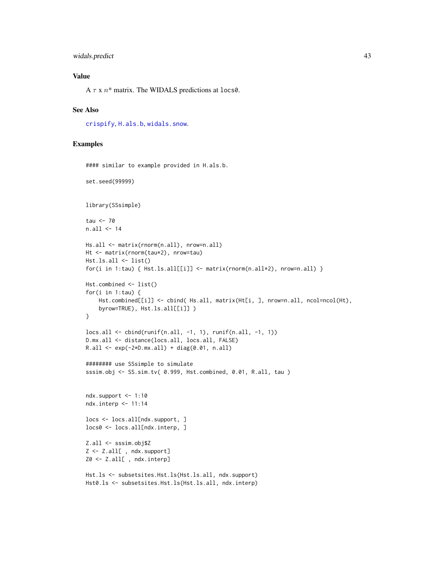#### <span id="page-42-0"></span>widals.predict 43

# Value

A  $\tau$  x  $n^*$  matrix. The WIDALS predictions at locs0.

#### See Also

[crispify](#page-5-1), [H.als.b](#page-15-1), [widals.snow](#page-43-1).

```
#### similar to example provided in H.als.b.
set.seed(99999)
library(SSsimple)
tau <-70n.all <- 14
Hs.all <- matrix(rnorm(n.all), nrow=n.all)
Ht <- matrix(rnorm(tau*2), nrow=tau)
Hst.ls.all <- list()
for(i in 1:tau) { Hst.ls.all[[i]] \leftarrow matrix(rnorm(n.all*2), nrow=n.all) }
Hst.combined <- list()
for(i in 1:tau) \{Hst.combined[[i]] <- cbind( Hs.all, matrix(Ht[i, ], nrow=n.all, ncol=ncol(Ht),
    byrow=TRUE), Hst.ls.all[[i]] )
}
loss. all < - child(runif(n. all, -1, 1), runif(n. all, -1, 1))D.mx.all <- distance(locs.all, locs.all, FALSE)
R.all <- exp(-2*D.mx.all) + diag(0.01, n.all)
######## use SSsimple to simulate
sssim.obj <- SS.sim.tv( 0.999, Hst.combined, 0.01, R.all, tau )
ndx.support < -1:10ndx.interp <- 11:14
locs <- locs.all[ndx.support, ]
locs0 <- locs.all[ndx.interp, ]
Z.all <- sssim.obj$Z
Z <- Z.all[ , ndx.support]
Z0 <- Z.all[ , ndx.interp]
Hst.ls <- subsetsites.Hst.ls(Hst.ls.all, ndx.support)
Hst0.ls <- subsetsites.Hst.ls(Hst.ls.all, ndx.interp)
```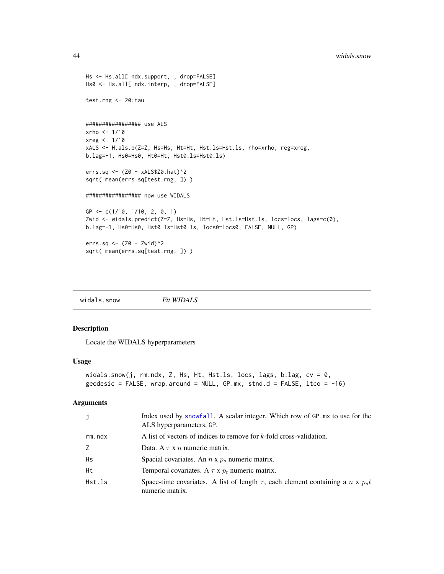```
Hs <- Hs.all[ ndx.support, , drop=FALSE]
Hs0 <- Hs.all[ ndx.interp, , drop=FALSE]
test.rng <- 20:tau
################# use ALS
xrho <- 1/10
xreg <- 1/10
xALS <- H.als.b(Z=Z, Hs=Hs, Ht=Ht, Hst.ls=Hst.ls, rho=xrho, reg=xreg,
b.lag=-1, Hs0=Hs0, Ht0=Ht, Hst0.ls=Hst0.ls)
errs.sq <- (Z0 - xALS$Z0.hat)^2
sqrt( mean(errs.sq[test.rng, ]) )
################# now use WIDALS
GP <- c(1/10, 1/10, 2, 0, 1)
Zwid <- widals.predict(Z=Z, Hs=Hs, Ht=Ht, Hst.ls=Hst.ls, locs=locs, lags=c(0),
b.lag=-1, Hs0=Hs0, Hst0.ls=Hst0.ls, locs0=locs0, FALSE, NULL, GP)
errs.sq \leq (Z0 - Zwid)^2
sqrt( mean(errs.sq[test.rng, ]) )
```
<span id="page-43-1"></span>widals.snow *Fit WIDALS*

#### Description

Locate the WIDALS hyperparameters

#### Usage

```
widals.snow(j, rm.ndx, Z, Hs, Ht, Hst.ls, locs, lags, b.lag, cv = 0,
geodesic = FALSE, wrap. around = NULL, GP.mx, stnd.d = FALSE, lto = -16)
```
# Arguments

| j            | Index used by snowfall. A scalar integer. Which row of GP mx to use for the<br>ALS hyperparameters, GP.   |
|--------------|-----------------------------------------------------------------------------------------------------------|
| $rm.$ nd $x$ | A list of vectors of indices to remove for k-fold cross-validation.                                       |
| Z            | Data. A $\tau$ x n numeric matrix.                                                                        |
| Hs           | Spacial covariates. An $n \times p_s$ numeric matrix.                                                     |
| Ht           | Temporal covariates. A $\tau$ x $p_t$ numeric matrix.                                                     |
| Hst.ls       | Space-time covariates. A list of length $\tau$ , each element containing a n x $p_s t$<br>numeric matrix. |

<span id="page-43-0"></span>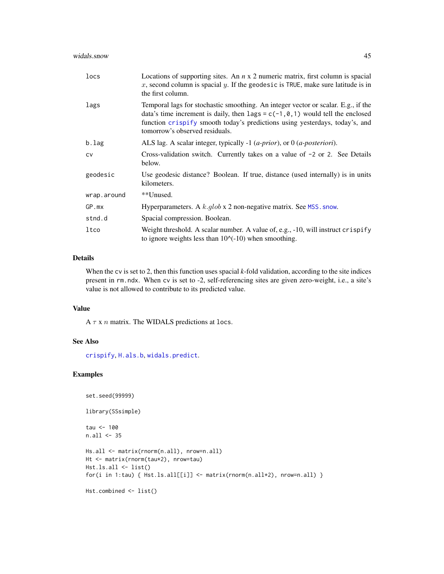<span id="page-44-0"></span>

| locs        | Locations of supporting sites. An $n \times 2$ numeric matrix, first column is spacial<br>x, second column is spacial y. If the geodesic is TRUE, make sure latitude is in<br>the first column.                                                                                                |
|-------------|------------------------------------------------------------------------------------------------------------------------------------------------------------------------------------------------------------------------------------------------------------------------------------------------|
| lags        | Temporal lags for stochastic smoothing. An integer vector or scalar. E.g., if the<br>data's time increment is daily, then $\text{lags} = c(-1, 0, 1)$ would tell the enclosed<br>function crispify smooth today's predictions using yesterdays, today's, and<br>tomorrow's observed residuals. |
| $b.$ lag    | ALS lag. A scalar integer, typically -1 ( <i>a-prior</i> ), or $0$ ( <i>a-posteriori</i> ).                                                                                                                                                                                                    |
| <b>CV</b>   | Cross-validation switch. Currently takes on a value of $-2$ or 2. See Details<br>below.                                                                                                                                                                                                        |
| geodesic    | Use geodesic distance? Boolean. If true, distance (used internally) is in units<br>kilometers.                                                                                                                                                                                                 |
| wrap.around | **Unused.                                                                                                                                                                                                                                                                                      |
| GP.mx       | Hyperparameters. A $k$ .glob x 2 non-negative matrix. See MSS. snow.                                                                                                                                                                                                                           |
| stnd.d      | Spacial compression. Boolean.                                                                                                                                                                                                                                                                  |
| ltco        | Weight threshold. A scalar number. A value of, e.g., -10, will instruct crispify<br>to ignore weights less than $10^{\circ}(-10)$ when smoothing.                                                                                                                                              |

#### Details

When the cv is set to 2, then this function uses spacial *k*-fold validation, according to the site indices present in rm.ndx. When cv is set to -2, self-referencing sites are given zero-weight, i.e., a site's value is not allowed to contribute to its predicted value.

### Value

A  $\tau$  x  $n$  matrix. The WIDALS predictions at locs.

# See Also

[crispify](#page-5-1), [H.als.b](#page-15-1), [widals.predict](#page-41-1).

# Examples

```
set.seed(99999)
```
library(SSsimple)

```
tau <- 100
```

```
n.all <- 35
```

```
Hs.all <- matrix(rnorm(n.all), nrow=n.all)
Ht <- matrix(rnorm(tau*2), nrow=tau)
Hst.ls.all <- list()
for(i in 1:tau) { Hst.ls.all[[i]] \leftarrow matrix(rnorm(n.all * 2), nrow=n.all) }
```

```
Hst.combined <- list()
```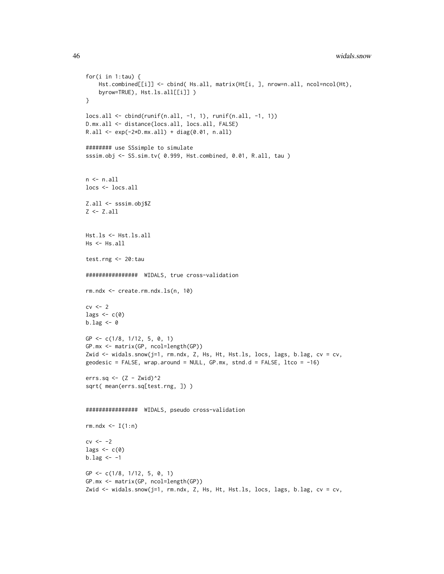```
for(i in 1:tau) {
    Hst.combined[[i]] <- cbind( Hs.all, matrix(Ht[i, ], nrow=n.all, ncol=ncol(Ht),
    byrow=TRUE), Hst.ls.all[[i]] )
}
locs.all <- cbind(runif(n.all, -1, 1), runif(n.all, -1, 1))
D.mx.all <- distance(locs.all, locs.all, FALSE)
R.all <- exp(-2*D.mx.all) + diag(0.01, n.all)
######## use SSsimple to simulate
sssim.obj <- SS.sim.tv( 0.999, Hst.combined, 0.01, R.all, tau )
n < -n.all
locs <- locs.all
Z.all <- sssim.obj$Z
Z \leftarrow Z.all
Hst.ls <- Hst.ls.all
Hs <- Hs.all
test.rng <- 20:tau
################ WIDALS, true cross-validation
rm.ndx <- create.rm.ndx.ls(n, 10)
cv \leftarrow 2lags \leftarrow c(\emptyset)b.lag <- 0
GP <- c(1/8, 1/12, 5, 0, 1)
GP.mx <- matrix(GP, ncol=length(GP))
Zwid <- widals.snow(j=1, rm.ndx, Z, Hs, Ht, Hst.ls, locs, lags, b.lag, cv = cv,
geodesic = FALSE, wrap.around = NULL, GP.mx, stnd.d = FALSE, ltco = -16)
errs.sq <- (Z - Zwid)^2sqrt( mean(errs.sq[test.rng, ]) )
################ WIDALS, pseudo cross-validation
rm.ndx < - I(1:n)cv \leftarrow -2lags \leftarrow c(0)
b.lag <-1GP <- c(1/8, 1/12, 5, 0, 1)
GP.mx <- matrix(GP, ncol=length(GP))
Zwid <- widals.snow(j=1, rm.ndx, Z, Hs, Ht, Hst.ls, locs, lags, b.lag, cv = cv,
```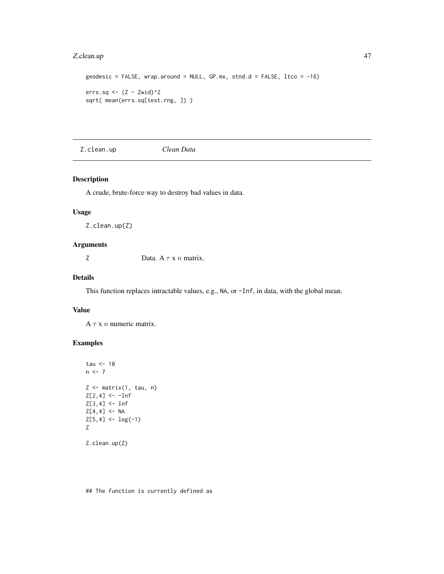# <span id="page-46-0"></span>Z.clean.up 47

```
geodesic = FALSE, wrap. around = NULL, GP.mx, stnd.d = FALSE, lto = -16)errs.sq <- (Z - Zwid)^2sqrt( mean(errs.sq[test.rng, ]) )
```
Z.clean.up *Clean Data*

# Description

A crude, brute-force way to destroy bad values in data.

# Usage

Z.clean.up(Z)

#### Arguments

Z Data.  $A \tau x n$  matrix.

# Details

This function replaces intractable values, e.g., NA, or -Inf, in data, with the global mean.

#### Value

 $A \tau x n$  numeric matrix.

# Examples

```
tau <-10n < -7Z \leq - matrix(1, tau, n)
Z[2, 4] <- -Inf
Z[3, 4] <- Inf
Z[4, 4] <- NA
Z[5,4] \leftarrow \log(-1)Z
Z.clean.up(Z)
```
## The function is currently defined as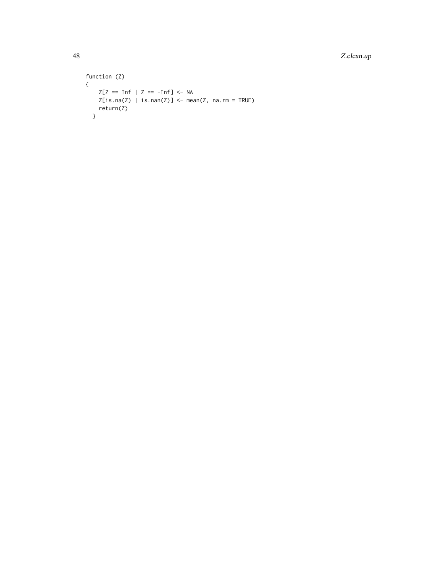48 Z.clean.up

```
function (Z)
{
    Z[Z == Inf | Z == -Inf] \leftarrow NAZ[is.na(Z) | is.nan(Z)] \leftarrow mean(Z, na.rm = TRUE)return(Z)
  }
```